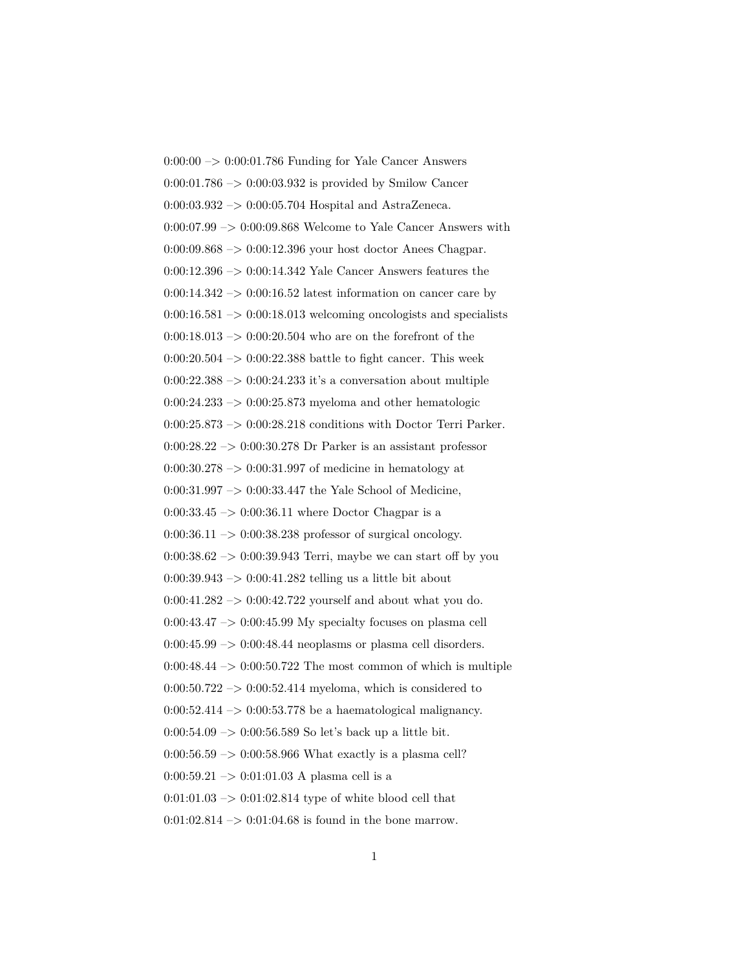$0:00:00 \rightarrow 0:00:01.786$  Funding for Yale Cancer Answers 0:00:01.786  $\rightarrow$  0:00:03.932 is provided by Smilow Cancer 0:00:03.932 –> 0:00:05.704 Hospital and AstraZeneca. 0:00:07.99 –> 0:00:09.868 Welcome to Yale Cancer Answers with 0:00:09.868 –> 0:00:12.396 your host doctor Anees Chagpar. 0:00:12.396 –> 0:00:14.342 Yale Cancer Answers features the  $0:00:14.342 \rightarrow 0:00:16.52$  latest information on cancer care by  $0:00:16.581 \rightarrow 0:00:18.013$  welcoming oncologists and specialists  $0:00:18.013 \rightarrow 0:00:20.504$  who are on the forefront of the  $0:00:20.504 \rightarrow 0:00:22.388$  battle to fight cancer. This week  $0:00:22.388 \rightarrow 0:00:24.233$  it's a conversation about multiple  $0:00:24.233 \rightarrow 0:00:25.873$  myeloma and other hematologic 0:00:25.873  $\rightarrow$  0:00:28.218 conditions with Doctor Terri Parker.  $0:00:28.22 \rightarrow 0:00:30.278$  Dr Parker is an assistant professor  $0:00:30.278 \rightarrow 0:00:31.997$  of medicine in hematology at 0:00:31.997 –> 0:00:33.447 the Yale School of Medicine,  $0:00:33.45 \rightarrow 0:00:36.11$  where Doctor Chagpar is a  $0:00:36.11 \rightarrow 0:00:38.238$  professor of surgical oncology.  $0:00:38.62 \rightarrow 0:00:39.943$  Terri, maybe we can start off by you 0:00:39.943 –> 0:00:41.282 telling us a little bit about 0:00:41.282  $\rightarrow$  0:00:42.722 yourself and about what you do.  $0:00:43.47 \rightarrow 0:00:45.99$  My specialty focuses on plasma cell  $0:00:45.99 \rightarrow 0:00:48.44$  neoplasms or plasma cell disorders.  $0:00:48.44 \rightarrow 0:00:50.722$  The most common of which is multiple  $0:00:50.722 \rightarrow 0:00:52.414$  myeloma, which is considered to  $0:00:52.414 \rightarrow 0:00:53.778$  be a haematological malignancy. 0:00:54.09 –> 0:00:56.589 So let's back up a little bit.  $0:00:56.59 \rightarrow 0:00:58.966$  What exactly is a plasma cell?  $0:00:59.21 \rightarrow 0:01:01.03$  A plasma cell is a  $0:01:01.03 \rightarrow 0:01:02.814$  type of white blood cell that  $0:01:02.814 \rightarrow 0:01:04.68$  is found in the bone marrow.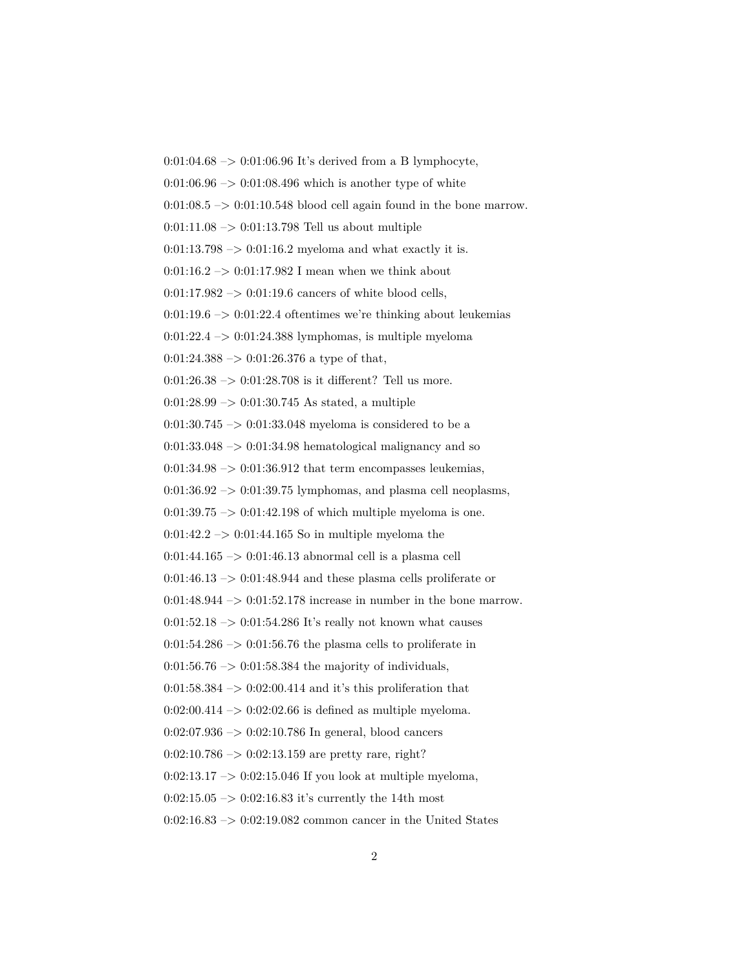0:01:04.68  $\rightarrow$  0:01:06.96 It's derived from a B lymphocyte,  $0:01:06.96 \rightarrow 0:01:08.496$  which is another type of white  $0:01:08.5 \rightarrow 0:01:10.548$  blood cell again found in the bone marrow.  $0:01:11.08 \rightarrow 0:01:13.798$  Tell us about multiple  $0:01:13.798 \rightarrow 0:01:16.2$  myeloma and what exactly it is. 0:01:16.2  $\rightarrow$  0:01:17.982 I mean when we think about  $0:01:17.982 \rightarrow 0:01:19.6$  cancers of white blood cells,  $0:01:19.6 \rightarrow 0:01:22.4$  oftentimes we're thinking about leukemias  $0:01:22.4 \rightarrow 0:01:24.388$  lymphomas, is multiple myeloma  $0:01:24.388 \rightarrow 0:01:26.376$  a type of that,  $0:01:26.38 \rightarrow 0:01:28.708$  is it different? Tell us more.  $0:01:28.99 \rightarrow 0:01:30.745$  As stated, a multiple 0:01:30.745  $\rightarrow$  0:01:33.048 myeloma is considered to be a  $0:01:33.048 \rightarrow 0:01:34.98$  hematological malignancy and so  $0:01:34.98 \rightarrow 0:01:36.912$  that term encompasses leukemias,  $0:01:36.92 \rightarrow 0:01:39.75$  lymphomas, and plasma cell neoplasms,  $0:01:39.75 \rightarrow 0:01:42.198$  of which multiple myeloma is one.  $0:01:42.2 \rightarrow 0:01:44.165$  So in multiple myeloma the 0:01:44.165  $\rightarrow$  0:01:46.13 abnormal cell is a plasma cell  $0:01:46.13 \rightarrow 0:01:48.944$  and these plasma cells proliferate or 0:01:48.944  $\rightarrow$  0:01:52.178 increase in number in the bone marrow.  $0:01:52.18 \rightarrow 0:01:54.286$  It's really not known what causes  $0:01:54.286 \rightarrow 0:01:56.76$  the plasma cells to proliferate in  $0:01:56.76 \rightarrow 0:01:58.384$  the majority of individuals,  $0:01:58.384 \rightarrow 0:02:00.414$  and it's this proliferation that  $0:02:00.414 \rightarrow 0:02:02.66$  is defined as multiple myeloma.  $0:02:07.936 \rightarrow 0:02:10.786$  In general, blood cancers  $0:02:10.786 \rightarrow 0:02:13.159$  are pretty rare, right?  $0:02:13.17 \rightarrow 0:02:15.046$  If you look at multiple myeloma,  $0:02:15.05 \rightarrow 0:02:16.83$  it's currently the 14th most 0:02:16.83 –> 0:02:19.082 common cancer in the United States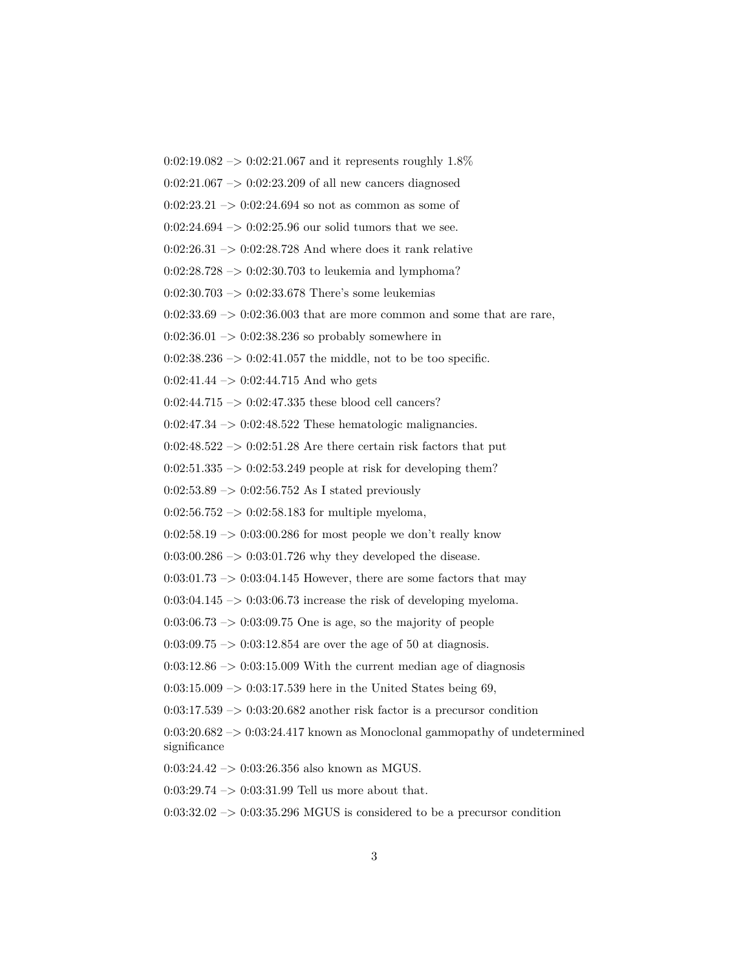$0:02:19.082 \rightarrow 0:02:21.067$  and it represents roughly  $1.8\%$ 

 $0:02:21.067 \rightarrow 0:02:23.209$  of all new cancers diagnosed

 $0:02:23.21 \rightarrow 0:02:24.694$  so not as common as some of

 $0:02:24.694 \rightarrow 0:02:25.96$  our solid tumors that we see.

 $0:02:26.31 \rightarrow 0:02:28.728$  And where does it rank relative

 $0:02:28.728 \rightarrow 0:02:30.703$  to leukemia and lymphoma?

0:02:30.703 –> 0:02:33.678 There's some leukemias

 $0:02:33.69 \rightarrow 0:02:36.003$  that are more common and some that are rare,

 $0:02:36.01 \rightarrow 0:02:38.236$  so probably somewhere in

 $0:02:38.236 \rightarrow 0:02:41.057$  the middle, not to be too specific.

 $0:02:41.44 \rightarrow 0:02:44.715$  And who gets

0:02:44.715 –> 0:02:47.335 these blood cell cancers?

0:02:47.34 –> 0:02:48.522 These hematologic malignancies.

 $0:02:48.522 \rightarrow 0:02:51.28$  Are there certain risk factors that put

 $0:02:51.335 \rightarrow 0:02:53.249$  people at risk for developing them?

 $0:02:53.89 \rightarrow 0:02:56.752$  As I stated previously

 $0:02:56.752 \rightarrow 0:02:58.183$  for multiple myeloma,

 $0:02:58.19 \rightarrow 0:03:00.286$  for most people we don't really know

 $0.03:00.286 \rightarrow 0.03:01.726$  why they developed the disease.

 $0:03:01.73 \rightarrow 0:03:04.145$  However, there are some factors that may

 $0:03:04.145 \rightarrow 0:03:06.73$  increase the risk of developing myeloma.

 $0:03:06.73 \rightarrow 0:03:09.75$  One is age, so the majority of people

 $0:03:09.75 \rightarrow 0:03:12.854$  are over the age of 50 at diagnosis.

 $0:03:12.86 \rightarrow 0:03:15.009$  With the current median age of diagnosis

 $0:03:15.009 \rightarrow 0:03:17.539$  here in the United States being 69,

 $0:03:17.539 \rightarrow 0:03:20.682$  another risk factor is a precursor condition

 $0:03:20.682 \rightarrow 0:03:24.417$  known as Monoclonal gammopathy of undetermined significance

0:03:24.42 –> 0:03:26.356 also known as MGUS.

0:03:29.74 –> 0:03:31.99 Tell us more about that.

 $0:03:32.02 \rightarrow 0:03:35.296$  MGUS is considered to be a precursor condition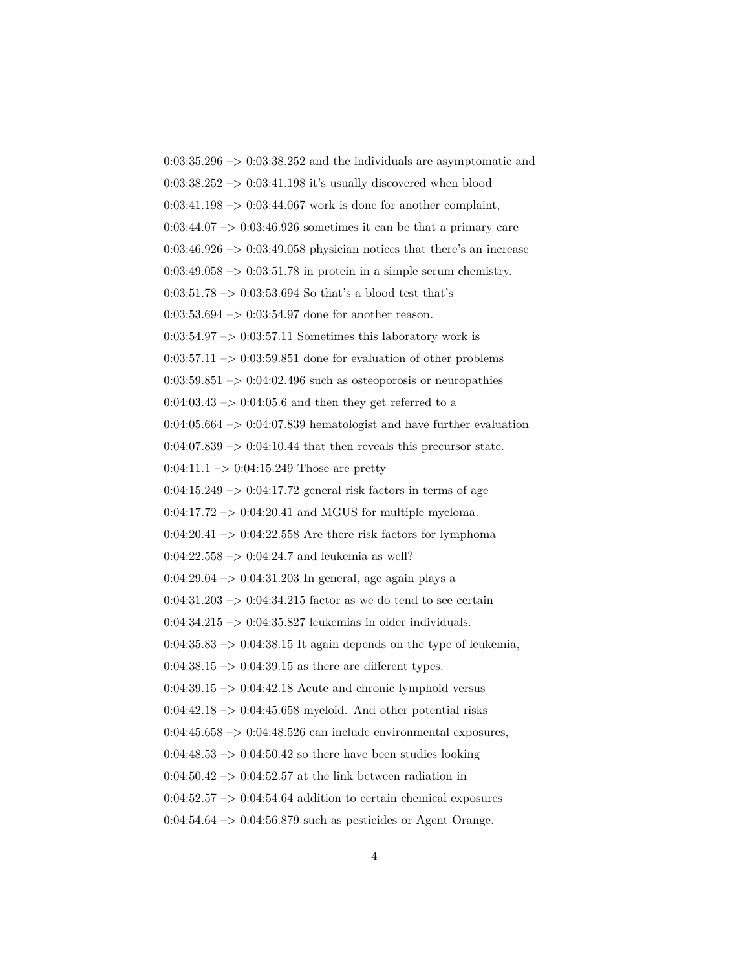$0:03:35.296 \rightarrow 0:03:38.252$  and the individuals are asymptomatic and  $0:03:38.252 \rightarrow 0:03:41.198$  it's usually discovered when blood  $0:03:41.198 \rightarrow 0:03:44.067$  work is done for another complaint,  $0:03:44.07 \rightarrow 0:03:46.926$  sometimes it can be that a primary care  $0:03:46.926 \rightarrow 0:03:49.058$  physician notices that there's an increase  $0:03:49.058 \rightarrow 0:03:51.78$  in protein in a simple serum chemistry. 0:03:51.78  $\rightarrow$  0:03:53.694 So that's a blood test that's  $0:03:53.694 \rightarrow 0:03:54.97$  done for another reason.  $0:03:54.97 \rightarrow 0:03:57.11$  Sometimes this laboratory work is  $0:03:57.11 \rightarrow 0:03:59.851$  done for evaluation of other problems  $0:03:59.851 \rightarrow 0:04:02.496$  such as osteoporosis or neuropathies  $0:04:03.43 \rightarrow 0:04:05.6$  and then they get referred to a  $0:04:05.664 \rightarrow 0:04:07.839$  hematologist and have further evaluation  $0:04:07.839 \rightarrow 0:04:10.44$  that then reveals this precursor state.  $0:04:11.1 \rightarrow 0:04:15.249$  Those are pretty  $0:04:15.249 \rightarrow 0:04:17.72$  general risk factors in terms of age  $0:04:17.72 \rightarrow 0:04:20.41$  and MGUS for multiple myeloma.  $0:04:20.41 \rightarrow 0:04:22.558$  Are there risk factors for lymphoma  $0:04:22.558 \rightarrow 0:04:24.7$  and leukemia as well?  $0:04:29.04 \rightarrow 0:04:31.203$  In general, age again plays a  $0:04:31.203 \rightarrow 0:04:34.215$  factor as we do tend to see certain 0:04:34.215 –> 0:04:35.827 leukemias in older individuals.  $0.04:35.83 \rightarrow 0.04:38.15$  It again depends on the type of leukemia,  $0:04:38.15 \rightarrow 0:04:39.15$  as there are different types.  $0:04:39.15 \rightarrow 0:04:42.18$  Acute and chronic lymphoid versus  $0:04:42.18 \rightarrow 0:04:45.658$  myeloid. And other potential risks  $0:04:45.658 \rightarrow 0:04:48.526$  can include environmental exposures,  $0:04:48.53 \rightarrow 0:04:50.42$  so there have been studies looking  $0.04:50.42 \rightarrow 0.04:52.57$  at the link between radiation in  $0:04:52.57 \rightarrow 0:04:54.64$  addition to certain chemical exposures  $0.04:54.64 \rightarrow 0.04:56.879$  such as pesticides or Agent Orange.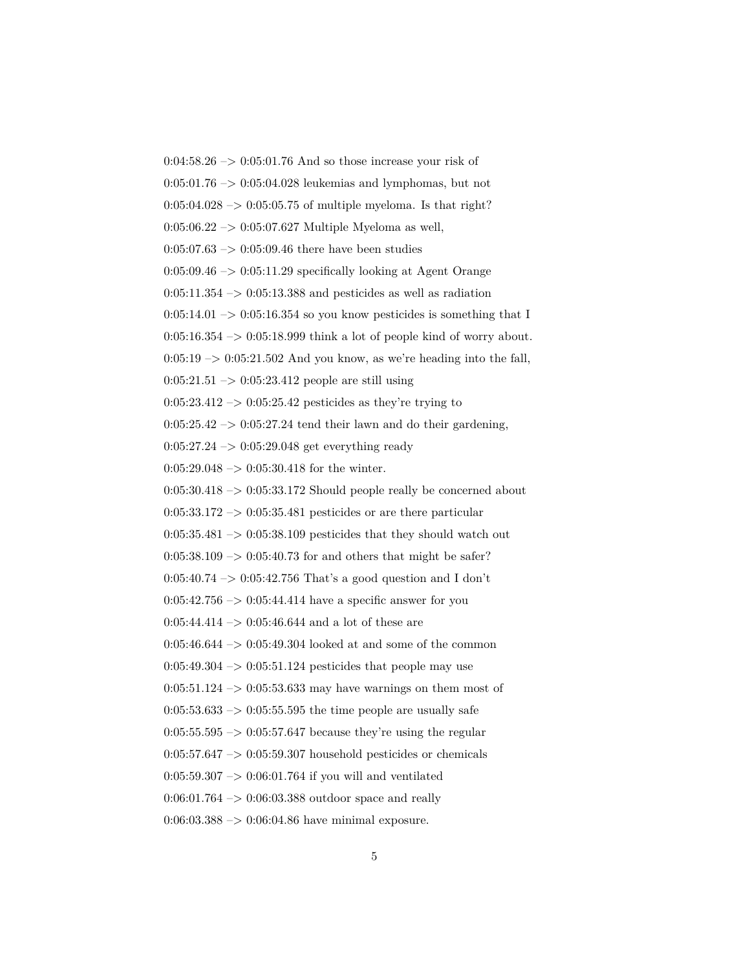$0:04:58.26 \rightarrow 0:05:01.76$  And so those increase your risk of  $0:05:01.76 \rightarrow 0:05:04.028$  leukemias and lymphomas, but not  $0:05:04.028 \rightarrow 0:05:05.75$  of multiple myeloma. Is that right?  $0:05:06.22 \rightarrow 0:05:07.627$  Multiple Myeloma as well,  $0:05:07.63 \rightarrow 0:05:09.46$  there have been studies  $0:05:09.46 \rightarrow 0:05:11.29$  specifically looking at Agent Orange  $0:05:11.354 \rightarrow 0:05:13.388$  and pesticides as well as radiation  $0:05:14.01 \rightarrow 0:05:16.354$  so you know pesticides is something that I  $0:05:16.354 \rightarrow 0:05:18.999$  think a lot of people kind of worry about.  $0:05:19 \rightarrow 0:05:21.502$  And you know, as we're heading into the fall,  $0:05:21.51 \rightarrow 0:05:23.412$  people are still using  $0:05:23.412 \rightarrow 0:05:25.42$  pesticides as they're trying to  $0:05:25.42 \rightarrow 0:05:27.24$  tend their lawn and do their gardening, 0:05:27.24 –> 0:05:29.048 get everything ready  $0:05:29.048 \rightarrow 0:05:30.418$  for the winter.  $0:05:30.418 \rightarrow 0:05:33.172$  Should people really be concerned about  $0:05:33.172 \rightarrow 0:05:35.481$  pesticides or are there particular  $0:05:35.481 \rightarrow 0:05:38.109$  pesticides that they should watch out  $0:05:38.109 \rightarrow 0:05:40.73$  for and others that might be safer? 0:05:40.74 –> 0:05:42.756 That's a good question and I don't  $0:05:42.756 \rightarrow 0:05:44.414$  have a specific answer for you  $0:05:44.414 \rightarrow 0:05:46.644$  and a lot of these are 0:05:46.644 –> 0:05:49.304 looked at and some of the common  $0:05:49.304 \rightarrow 0:05:51.124$  pesticides that people may use 0:05:51.124  $\rightarrow$  0:05:53.633 may have warnings on them most of  $0:05:53.633 \rightarrow 0:05:55.595$  the time people are usually safe  $0:05:55.595 \rightarrow 0:05:57.647$  because they're using the regular  $0:05:57.647 \rightarrow 0:05:59.307$  household pesticides or chemicals  $0:05:59.307 \rightarrow 0:06:01.764$  if you will and ventilated  $0:06:01.764 \rightarrow 0:06:03.388$  outdoor space and really  $0:06:03.388 \rightarrow 0:06:04.86$  have minimal exposure.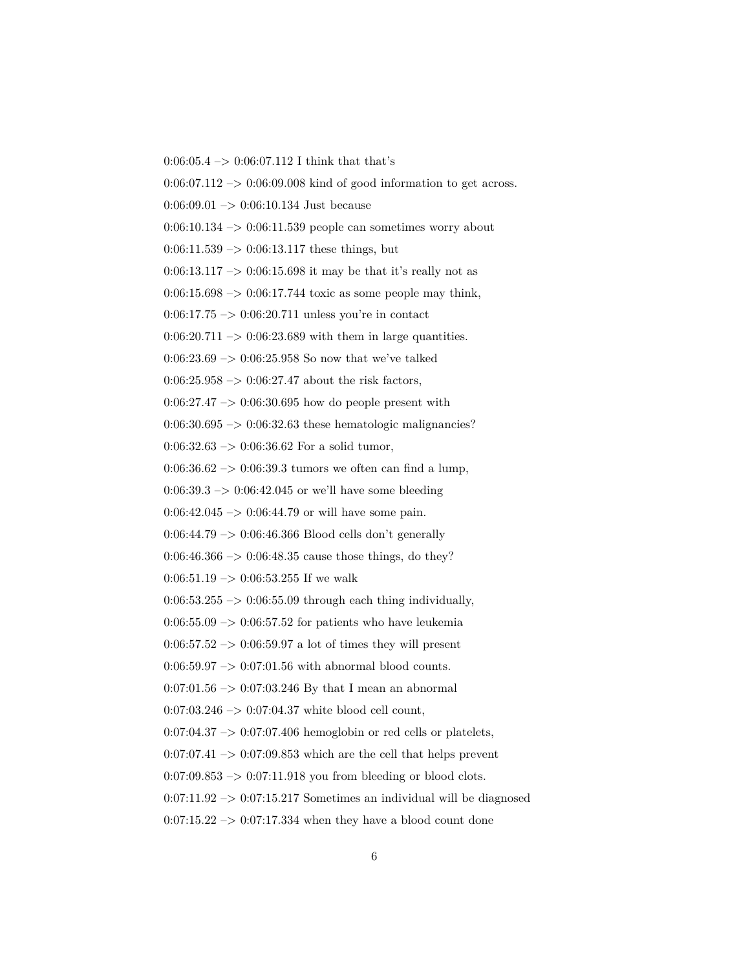$0:06:05.4 \rightarrow 0:06:07.112$  I think that that's

 $0.06:07.112 \rightarrow 0.06:09.008$  kind of good information to get across.

 $0:06:09.01 \rightarrow 0:06:10.134$  Just because

 $0:06:10.134 \rightarrow 0:06:11.539$  people can sometimes worry about

 $0:06:11.539 \rightarrow 0:06:13.117$  these things, but

0:06:13.117 -> 0:06:15.698 it may be that it's really not as

 $0:06:15.698 \rightarrow 0:06:17.744$  toxic as some people may think,

 $0:06:17.75 \rightarrow 0:06:20.711$  unless you're in contact

 $0:06:20.711 \rightarrow 0:06:23.689$  with them in large quantities.

0:06:23.69  $\rightarrow$  0:06:25.958 So now that we've talked

 $0:06:25.958 \rightarrow 0:06:27.47$  about the risk factors,

 $0:06:27.47 \rightarrow 0:06:30.695$  how do people present with

 $0:06:30.695 \rightarrow 0:06:32.63$  these hematologic malignancies?

 $0:06:32.63 \rightarrow 0:06:36.62$  For a solid tumor,

 $0:06:36.62 \rightarrow 0:06:39.3$  tumors we often can find a lump,

 $0:06:39.3 \rightarrow 0:06:42.045$  or we'll have some bleeding

 $0:06:42.045 \rightarrow 0:06:44.79$  or will have some pain.

0:06:44.79  $\rightarrow$  0:06:46.366 Blood cells don't generally

 $0.06:46.366 \rightarrow 0.06:48.35$  cause those things, do they?

 $0:06:51.19 \rightarrow 0:06:53.255$  If we walk

 $0.06:53.255 \rightarrow 0.06:55.09$  through each thing individually,

 $0.06:55.09 \rightarrow 0.06:57.52$  for patients who have leukemia

 $0:06:57.52 \rightarrow 0:06:59.97$  a lot of times they will present

 $0:06:59.97 \rightarrow 0:07:01.56$  with abnormal blood counts.

 $0:07:01.56 \rightarrow 0:07:03.246$  By that I mean an abnormal

 $0:07:03.246 \rightarrow 0:07:04.37$  white blood cell count,

 $0:07:04.37 \rightarrow 0:07:07.406$  hemoglobin or red cells or platelets,

 $0:07:07.41 \rightarrow 0:07:09.853$  which are the cell that helps prevent

 $0:07:09.853 \rightarrow 0:07:11.918$  you from bleeding or blood clots.

 $0:07:11.92 \rightarrow 0:07:15.217$  Sometimes an individual will be diagnosed

 $0:07:15.22 \rightarrow 0:07:17.334$  when they have a blood count done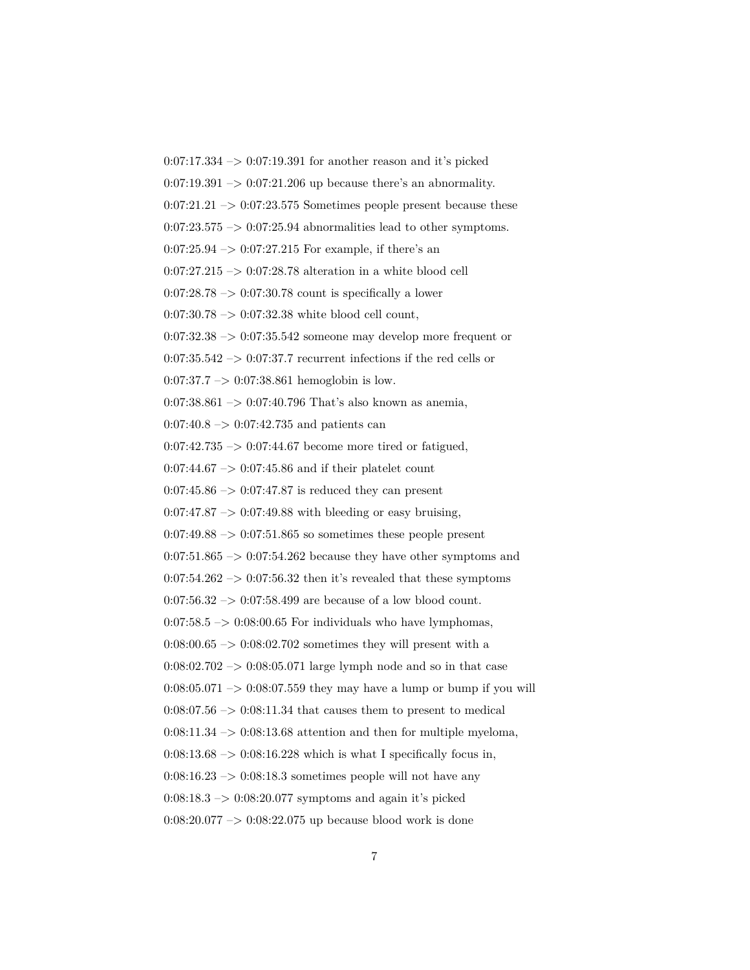$0:07:17.334 \rightarrow 0:07:19.391$  for another reason and it's picked  $0:07:19.391 \rightarrow 0:07:21.206$  up because there's an abnormality.  $0:07:21.21 \rightarrow 0:07:23.575$  Sometimes people present because these  $0:07:23.575 \rightarrow 0:07:25.94$  abnormalities lead to other symptoms.  $0:07:25.94 \rightarrow 0:07:27.215$  For example, if there's an  $0:07:27.215 \rightarrow 0:07:28.78$  alteration in a white blood cell  $0.07:28.78 \rightarrow 0.07:30.78$  count is specifically a lower  $0:07:30.78 \rightarrow 0:07:32.38$  white blood cell count,  $0:07:32.38 \rightarrow 0:07:35.542$  someone may develop more frequent or  $0:07:35.542 \rightarrow 0:07:37.7$  recurrent infections if the red cells or  $0:07:37.7 \rightarrow 0:07:38.861$  hemoglobin is low.  $0:07:38.861 \rightarrow 0:07:40.796$  That's also known as anemia,  $0:07:40.8 \rightarrow 0:07:42.735$  and patients can  $0:07:42.735 \rightarrow 0:07:44.67$  become more tired or fatigued,  $0:07:44.67 \rightarrow 0:07:45.86$  and if their platelet count  $0:07:45.86 \rightarrow 0:07:47.87$  is reduced they can present  $0:07:47.87 \rightarrow 0:07:49.88$  with bleeding or easy bruising,  $0.07:49.88 \rightarrow 0.07:51.865$  so sometimes these people present  $0:07:51.865 \rightarrow 0:07:54.262$  because they have other symptoms and  $0:07:54.262 \rightarrow 0:07:56.32$  then it's revealed that these symptoms  $0:07:56.32 \rightarrow 0:07:58.499$  are because of a low blood count.  $0:07:58.5 \rightarrow 0:08:00.65$  For individuals who have lymphomas,  $0.08:00.65 \rightarrow 0.08:02.702$  sometimes they will present with a  $0:08:02.702 \rightarrow 0:08:05.071$  large lymph node and so in that case  $0.08:05.071 \rightarrow 0.08:07.559$  they may have a lump or bump if you will  $0:08:07.56 \rightarrow 0:08:11.34$  that causes them to present to medical  $0:08:11.34 \rightarrow 0:08:13.68$  attention and then for multiple myeloma,  $0:08:13.68 \rightarrow 0:08:16.228$  which is what I specifically focus in,  $0:08:16.23 \rightarrow 0:08:18.3$  sometimes people will not have any  $0.08:18.3 \rightarrow 0.08:20.077$  symptoms and again it's picked 0:08:20.077 –> 0:08:22.075 up because blood work is done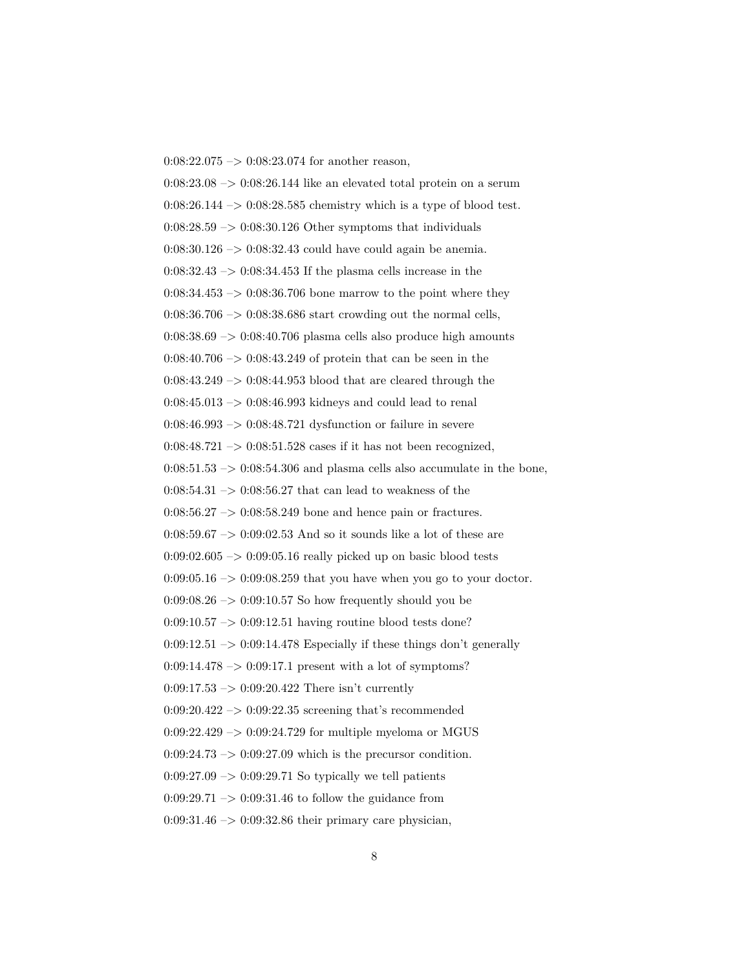$0:08:22.075 \rightarrow 0:08:23.074$  for another reason,  $0.08:23.08 \rightarrow 0.08:26.144$  like an elevated total protein on a serum  $0:08:26.144 \rightarrow 0:08:28.585$  chemistry which is a type of blood test.  $0:08:28.59 \rightarrow 0:08:30.126$  Other symptoms that individuals  $0:08:30.126 \rightarrow 0:08:32.43$  could have could again be anemia.  $0:08:32.43 \rightarrow 0:08:34.453$  If the plasma cells increase in the  $0:08:34.453 \rightarrow 0:08:36.706$  bone marrow to the point where they  $0.08:36.706 \rightarrow 0.08:38.686$  start crowding out the normal cells,  $0:08:38.69 \rightarrow 0:08:40.706$  plasma cells also produce high amounts 0:08:40.706  $\rightarrow$  0:08:43.249 of protein that can be seen in the  $0:08:43.249 \rightarrow 0:08:44.953$  blood that are cleared through the  $0:08:45.013 \rightarrow 0:08:46.993$  kidneys and could lead to renal 0:08:46.993 –> 0:08:48.721 dysfunction or failure in severe  $0:08:48.721 \rightarrow 0:08:51.528$  cases if it has not been recognized,  $0:08:51.53 \rightarrow 0:08:54.306$  and plasma cells also accumulate in the bone,  $0:08:54.31 \rightarrow 0:08:56.27$  that can lead to weakness of the  $0:08:56.27 \rightarrow 0:08:58.249$  bone and hence pain or fractures.  $0.08:59.67 \rightarrow 0.09:02.53$  And so it sounds like a lot of these are  $0:09:02.605 \rightarrow 0:09:05.16$  really picked up on basic blood tests  $0:09:05.16 \rightarrow 0:09:08.259$  that you have when you go to your doctor.  $0:09:08.26 \rightarrow 0:09:10.57$  So how frequently should you be  $0:09:10.57 \rightarrow 0:09:12.51$  having routine blood tests done? 0:09:12.51  $\mathord{\;\rightarrow\;}$  0:09:14.478 Especially if these things don't generally  $0:09:14.478 \rightarrow 0:09:17.1$  present with a lot of symptoms?  $0:09:17.53 \rightarrow 0:09:20.422$  There isn't currently  $0.09:20.422 \rightarrow 0.09:22.35$  screening that's recommended  $0:09:22.429 \rightarrow 0:09:24.729$  for multiple myeloma or MGUS  $0:09:24.73 \rightarrow 0:09:27.09$  which is the precursor condition.  $0.09:27.09 \rightarrow 0.09:29.71$  So typically we tell patients  $0:09:29.71 \rightarrow 0:09:31.46$  to follow the guidance from  $0:09:31.46 \rightarrow 0:09:32.86$  their primary care physician,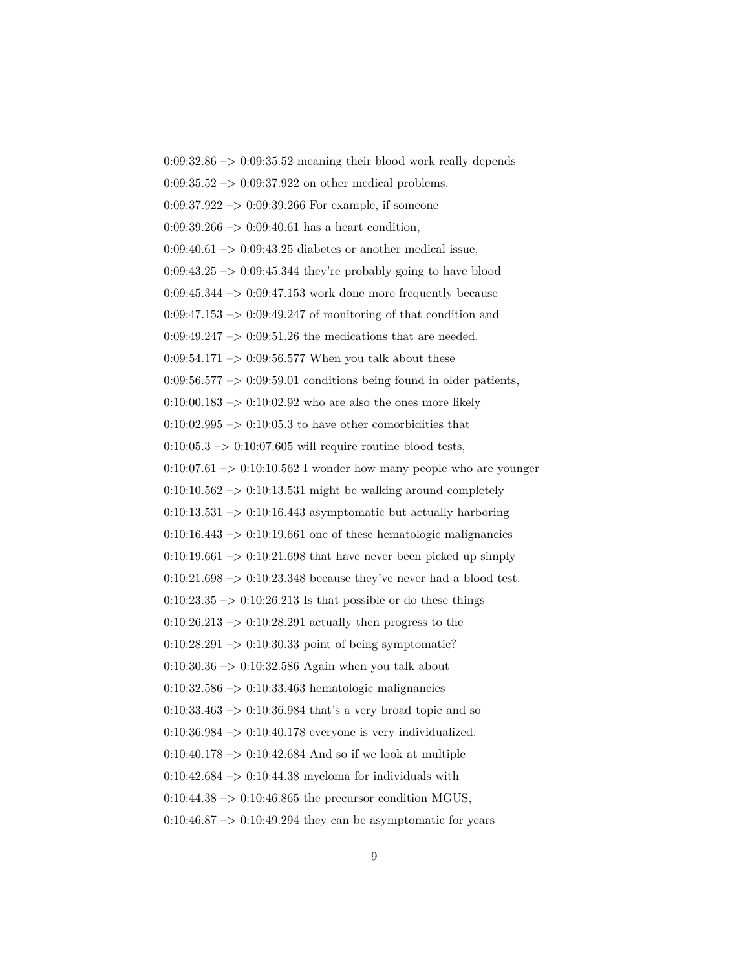$0:09:32.86 \rightarrow 0:09:35.52$  meaning their blood work really depends  $0:09:35.52 \rightarrow 0:09:37.922$  on other medical problems.  $0:09:37.922 \rightarrow 0:09:39.266$  For example, if someone  $0:09:39.266 \rightarrow 0:09:40.61$  has a heart condition,  $0:09:40.61 \rightarrow 0:09:43.25$  diabetes or another medical issue,  $0:09:43.25 \rightarrow 0:09:45.344$  they're probably going to have blood  $0.09:45.344 \rightarrow 0.09:47.153$  work done more frequently because  $0:09:47.153 \rightarrow 0:09:49.247$  of monitoring of that condition and 0:09:49.247  $\rightarrow$  0:09:51.26 the medications that are needed.  $0.09:54.171 \rightarrow 0.09:56.577$  When you talk about these  $0.09:56.577 \rightarrow 0.09:59.01$  conditions being found in older patients,  $0:10:00.183 \rightarrow 0:10:02.92$  who are also the ones more likely  $0:10:02.995 \ensuremath{\rightarrow} 0:10:05.3$  to have other comorbidities that  $0:10:05.3 \rightarrow 0:10:07.605$  will require routine blood tests,  $0:10:07.61 \rightarrow 0:10:10.562$  I wonder how many people who are younger  $0:10:10.562 \rightarrow 0:10:13.531$  might be walking around completely  $0:10:13.531 \rightarrow 0:10:16.443$  asymptomatic but actually harboring  $0:10:16.443 \rightarrow 0:10:19.661$  one of these hematologic malignancies  $0:10:19.661 \rightarrow 0:10:21.698$  that have never been picked up simply  $0:10:21.698 \rightarrow 0:10:23.348$  because they've never had a blood test.  $0:10:23.35 \rightarrow 0:10:26.213$  Is that possible or do these things  $0:10:26.213 \rightarrow 0:10:28.291$  actually then progress to the  $0:10:28.291 \rightarrow 0:10:30.33$  point of being symptomatic?  $0:10:30.36 \rightarrow 0:10:32.586$  Again when you talk about  $0:10:32.586 \rightarrow 0:10:33.463$  hematologic malignancies  $0:10:33.463 \rightarrow 0:10:36.984$  that's a very broad topic and so  $0:10:36.984 \rightarrow 0:10:40.178$  everyone is very individualized.  $0:10:40.178 \rightarrow 0:10:42.684$  And so if we look at multiple  $0:10:42.684 \rightarrow 0:10:44.38$  myeloma for individuals with  $0:10:44.38 \rightarrow 0:10:46.865$  the precursor condition MGUS,  $0:10:46.87 \rightarrow 0:10:49.294$  they can be asymptomatic for years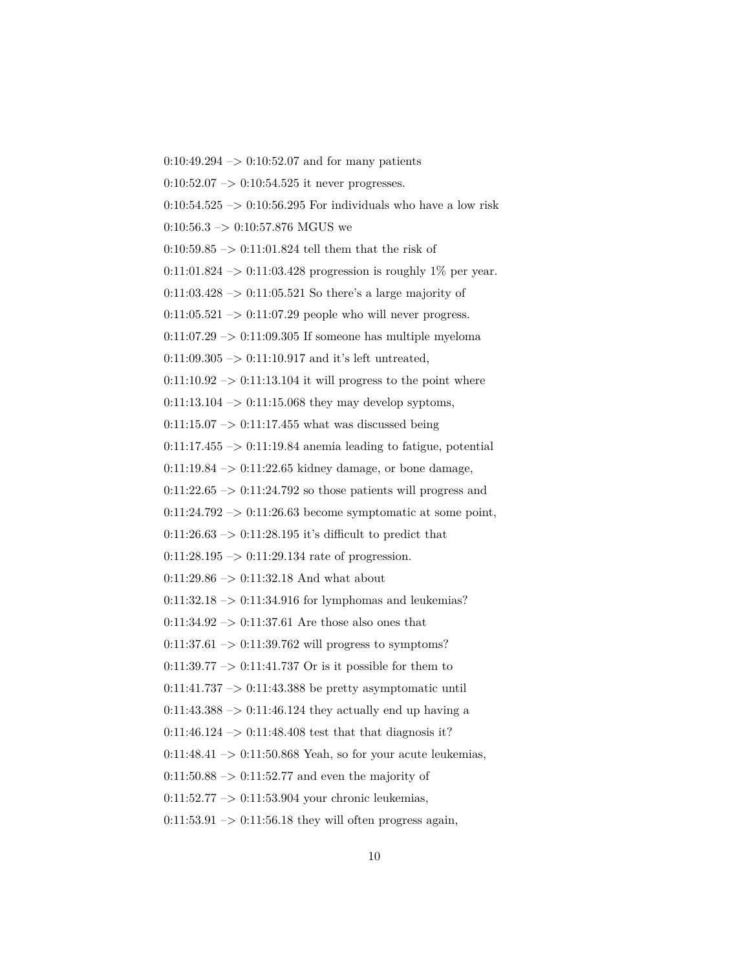$0:10:49.294 \rightarrow 0:10:52.07$  and for many patients  $0:10:52.07 \rightarrow 0:10:54.525$  it never progresses. 0:10:54.525  $\rightarrow$  0:10:56.295 For individuals who have a low risk  $0:10:56.3 \rightarrow 0:10:57.876$  MGUS we  $0:10:59.85$   $\ensuremath{\rightarrow}$   $0:11:01.824$  <br>tell them that the risk of 0:11:01.824 –> 0:11:03.428 progression is roughly  $1\%$  per year.  $0:11:03.428 \rightarrow 0:11:05.521$  So there's a large majority of  $0:11:05.521 \rightarrow 0:11:07.29$  people who will never progress.  $0:11:07.29 \rightarrow 0:11:09.305$  If someone has multiple myeloma  $0:11:09.305 \rightarrow 0:11:10.917$  and it's left untreated,  $0:11:10.92 \rightarrow 0:11:13.104$  it will progress to the point where  $0:11:13.104 \rightarrow 0:11:15.068$  they may develop syptoms,  $0:11:15.07 \rightarrow 0:11:17.455$  what was discussed being  $0:11:17.455 \rightarrow 0:11:19.84$  anemia leading to fatigue, potential  $0:11:19.84 \rightarrow 0:11:22.65$  kidney damage, or bone damage,  $0:11:22.65 \rightarrow 0:11:24.792$  so those patients will progress and  $0:11:24.792 \rightarrow 0:11:26.63$  become symptomatic at some point,  $0:11:26.63 \rightarrow 0:11:28.195$  it's difficult to predict that  $0:11:28.195 \rightarrow 0:11:29.134$  rate of progression.  $0:11:29.86 \rightarrow 0:11:32.18$  And what about  $0:11:32.18 \rightarrow 0:11:34.916$  for lymphomas and leukemias?  $0:11:34.92 \rightarrow 0:11:37.61$  Are those also ones that  $0:11:37.61 \rightarrow 0:11:39.762$  will progress to symptoms? 0:11:39.77  $\rightarrow$  0:11:41.737 Or is it possible for them to  $0:11:41.737 \rightarrow 0:11:43.388$  be pretty asymptomatic until  $0:11:43.388 \rightarrow 0:11:46.124$  they actually end up having a  $0:11:46.124 \rightarrow 0:11:48.408$  test that that diagnosis it?  $0:11:48.41 \rightarrow 0:11:50.868$  Yeah, so for your acute leukemias,  $0:11:50.88 \rightarrow 0:11:52.77$  and even the majority of  $0:11:52.77 \rightarrow 0:11:53.904$  your chronic leukemias,

 $0:11:53.91 \rightarrow 0:11:56.18$  they will often progress again,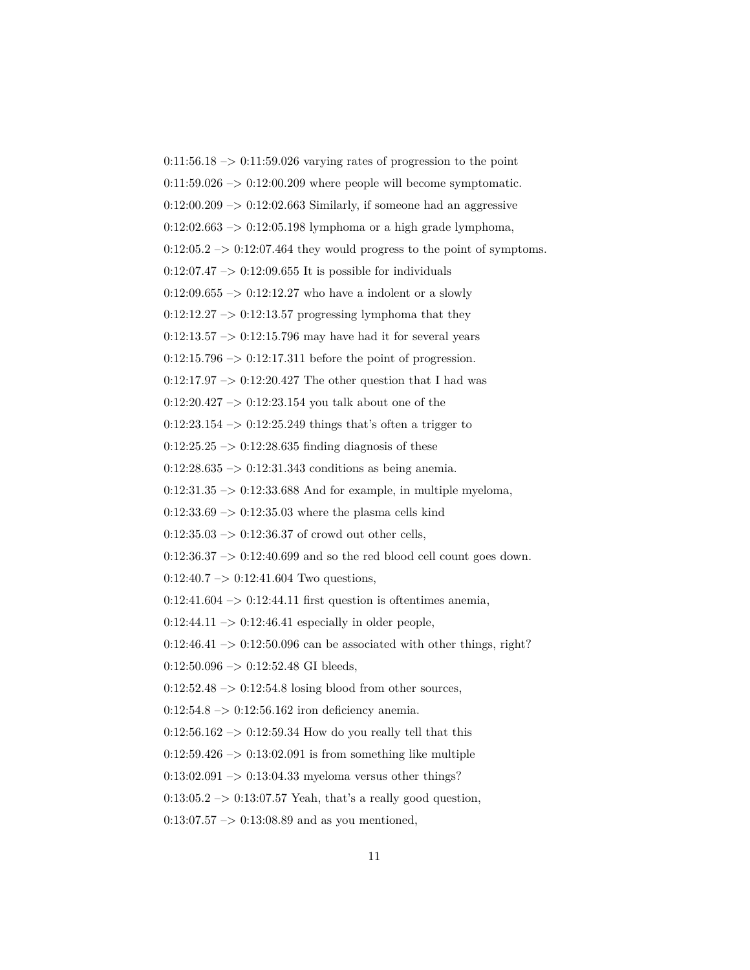$0:11:56.18 \rightarrow 0:11:59.026$  varying rates of progression to the point  $0:11:59.026 \rightarrow 0:12:00.209$  where people will become symptomatic.  $0:12:00.209 \rightarrow 0:12:02.663$  Similarly, if someone had an aggressive  $0:12:02.663 \rightarrow 0:12:05.198$  lymphoma or a high grade lymphoma,  $0:12:05.2 \rightarrow 0:12:07.464$  they would progress to the point of symptoms.  $0:12:07.47 \rightarrow 0:12:09.655$  It is possible for individuals  $0:12:09.655 \rightarrow 0:12:12.27$  who have a indolent or a slowly  $0:12:12.27 \rightarrow 0:12:13.57$  progressing lymphoma that they  $0:12:13.57 \rightarrow 0:12:15.796$  may have had it for several years  $0:12:15.796 \rightarrow 0:12:17.311$  before the point of progression.  $0:12:17.97 \rightarrow 0:12:20.427$  The other question that I had was  $0:12:20.427 \rightarrow 0:12:23.154$  you talk about one of the  $0:12:23.154 \rightarrow 0:12:25.249$  things that's often a trigger to  $0:12:25.25 \rightarrow 0:12:28.635$  finding diagnosis of these  $0:12:28.635 \rightarrow 0:12:31.343$  conditions as being anemia.  $0:12:31.35 \rightarrow 0:12:33.688$  And for example, in multiple myeloma,  $0:12:33.69 \rightarrow 0:12:35.03$  where the plasma cells kind  $0:12:35.03 \rightarrow 0:12:36.37$  of crowd out other cells,  $0:12:36.37 \rightarrow 0:12:40.699$  and so the red blood cell count goes down.  $0:12:40.7 \rightarrow 0:12:41.604$  Two questions,  $0:12:41.604 \rightarrow 0:12:44.11$  first question is oftentimes anemia,  $0:12:44.11 \rightarrow 0:12:46.41$  especially in older people,  $0:12:46.41 \rightarrow 0:12:50.096$  can be associated with other things, right?  $0:12:50.096 \rightarrow 0:12:52.48 \text{ GI bleeding},$  $0:12:52.48 \rightarrow 0:12:54.8$  losing blood from other sources,  $0:12:54.8 \rightarrow 0:12:56.162$  iron deficiency anemia.  $0:12:56.162 \rightarrow 0:12:59.34$  How do you really tell that this  $0:12:59.426 \rightarrow 0:13:02.091$  is from something like multiple  $0:13:02.091 \rightarrow 0:13:04.33$  myeloma versus other things?  $0.13:05.2 \rightarrow 0.13:07.57$  Yeah, that's a really good question,

 $0:13:07.57 \rightarrow 0:13:08.89$  and as you mentioned,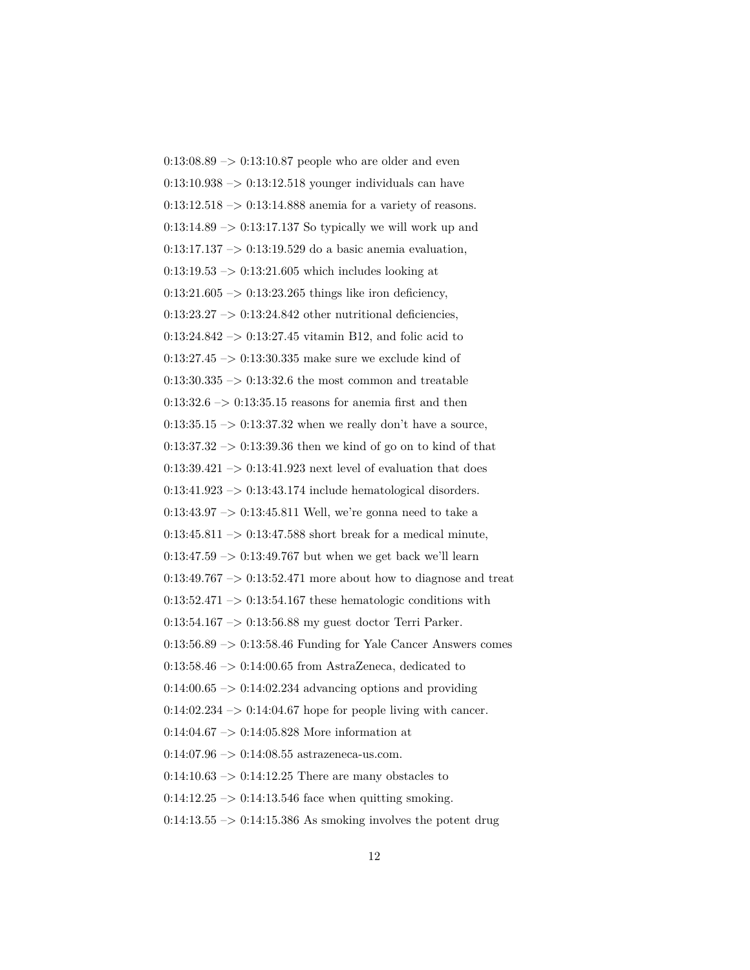$0:13:08.89 \rightarrow 0:13:10.87$  people who are older and even  $0:13:10.938 \rightarrow 0:13:12.518$  younger individuals can have  $0:13:12.518 \rightarrow 0:13:14.888$  anemia for a variety of reasons.  $0:13:14.89 \rightarrow 0:13:17.137$  So typically we will work up and 0:13:17.137  $\rightarrow$  0:13:19.529 do a basic anemia evaluation,  $0:13:19.53 \rightarrow 0:13:21.605$  which includes looking at  $0:13:21.605 \rightarrow 0:13:23.265$  things like iron deficiency,  $0:13:23.27 \rightarrow 0:13:24.842$  other nutritional deficiencies,  $0:13:24.842 \rightarrow 0:13:27.45$  vitamin B12, and folic acid to  $0:13:27.45 \rightarrow 0:13:30.335$  make sure we exclude kind of  $0:13:30.335 \rightarrow 0:13:32.6$  the most common and treatable  $0:13:32.6 \rightarrow 0:13:35.15$  reasons for anemia first and then  $0:13:35.15 \rightarrow 0:13:37.32$  when we really don't have a source,  $0:13:37.32 \rightarrow 0:13:39.36$  then we kind of go on to kind of that  $0:13:39.421 \rightarrow 0:13:41.923$  next level of evaluation that does 0:13:41.923 –> 0:13:43.174 include hematological disorders. 0:13:43.97 –> 0:13:45.811 Well, we're gonna need to take a  $0:13:45.811 \rightarrow 0:13:47.588$  short break for a medical minute,  $0:13:47.59 \rightarrow 0:13:49.767$  but when we get back we'll learn  $0:13:49.767 \rightarrow 0:13:52.471$  more about how to diagnose and treat  $0:13:52.471 \rightarrow 0:13:54.167$  these hematologic conditions with 0:13:54.167 –> 0:13:56.88 my guest doctor Terri Parker.  $0:13:56.89 \rightarrow 0:13:58.46$  Funding for Yale Cancer Answers comes  $0:13:58.46 \rightarrow 0:14:00.65$  from AstraZeneca, dedicated to  $0.14:00.65 \rightarrow 0.14:02.234$  advancing options and providing  $0:14:02.234 \rightarrow 0:14:04.67$  hope for people living with cancer. 0:14:04.67 –> 0:14:05.828 More information at  $0:14:07.96 \rightarrow 0:14:08.55$  astrazeneca-us.com.  $0:14:10.63 \rightarrow 0:14:12.25$  There are many obstacles to  $0:14:12.25 \rightarrow 0:14:13.546$  face when quitting smoking.  $0:14:13.55 \rightarrow 0:14:15.386$  As smoking involves the potent drug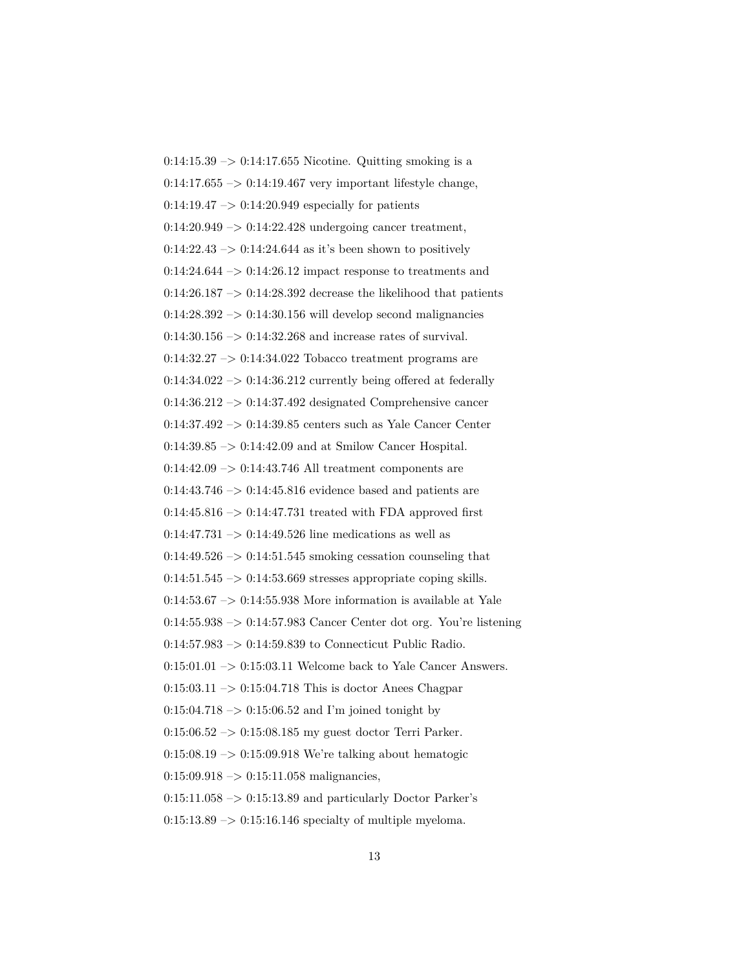$0:14:15.39 \rightarrow 0:14:17.655$  Nicotine. Quitting smoking is a  $0:14:17.655 \rightarrow 0:14:19.467$  very important lifestyle change,  $0:14:19.47 \rightarrow 0:14:20.949$  especially for patients  $0:14:20.949 \rightarrow 0:14:22.428$  undergoing cancer treatment,  $0:14:22.43 \rightarrow 0:14:24.644$  as it's been shown to positively  $0:14:24.644 \rightarrow 0:14:26.12$  impact response to treatments and  $0:14:26.187 \rightarrow 0:14:28.392$  decrease the likelihood that patients  $0:14:28.392 \rightarrow 0:14:30.156$  will develop second malignancies  $0:14:30.156 \rightarrow 0:14:32.268$  and increase rates of survival.  $0.14:32.27 \rightarrow 0.14:34.022$  Tobacco treatment programs are  $0.14:34.022 \rightarrow 0.14:36.212$  currently being offered at federally 0:14:36.212 –> 0:14:37.492 designated Comprehensive cancer  $0.14.37.492 \ensuremath{\rightarrow}\xspace 0.14.39.85$  centers such as Yale Cancer Center 0:14:39.85 –> 0:14:42.09 and at Smilow Cancer Hospital.  $0:14:42.09 \rightarrow 0:14:43.746$  All treatment components are  $0:14:43.746 \rightarrow 0:14:45.816$  evidence based and patients are  $0:14:45.816 \rightarrow 0:14:47.731$  treated with FDA approved first  $0:14:47.731 \rightarrow 0:14:49.526$  line medications as well as  $0:14:49.526 \rightarrow 0:14:51.545$  smoking cessation counseling that  $0:14:51.545 \rightarrow 0:14:53.669$  stresses appropriate coping skills.  $0:14:53.67 \rightarrow 0:14:55.938$  More information is available at Yale  $0:14:55.938 \rightarrow 0:14:57.983$  Cancer Center dot org. You're listening 0:14:57.983 –> 0:14:59.839 to Connecticut Public Radio.  $0:15:01.01 \rightarrow 0:15:03.11$  Welcome back to Yale Cancer Answers.  $0:15:03.11 \rightarrow 0:15:04.718$  This is doctor Anees Chagpar  $0:15:04.718 \rightarrow 0:15:06.52$  and I'm joined tonight by 0:15:06.52 –> 0:15:08.185 my guest doctor Terri Parker.  $0:15:08.19 \rightarrow 0:15:09.918$  We're talking about hematogic  $0:15:09.918 \rightarrow 0:15:11.058$  malignancies,  $0:15:11.058 \rightarrow 0:15:13.89$  and particularly Doctor Parker's  $0:15:13.89 \rightarrow 0:15:16.146$  specialty of multiple myeloma.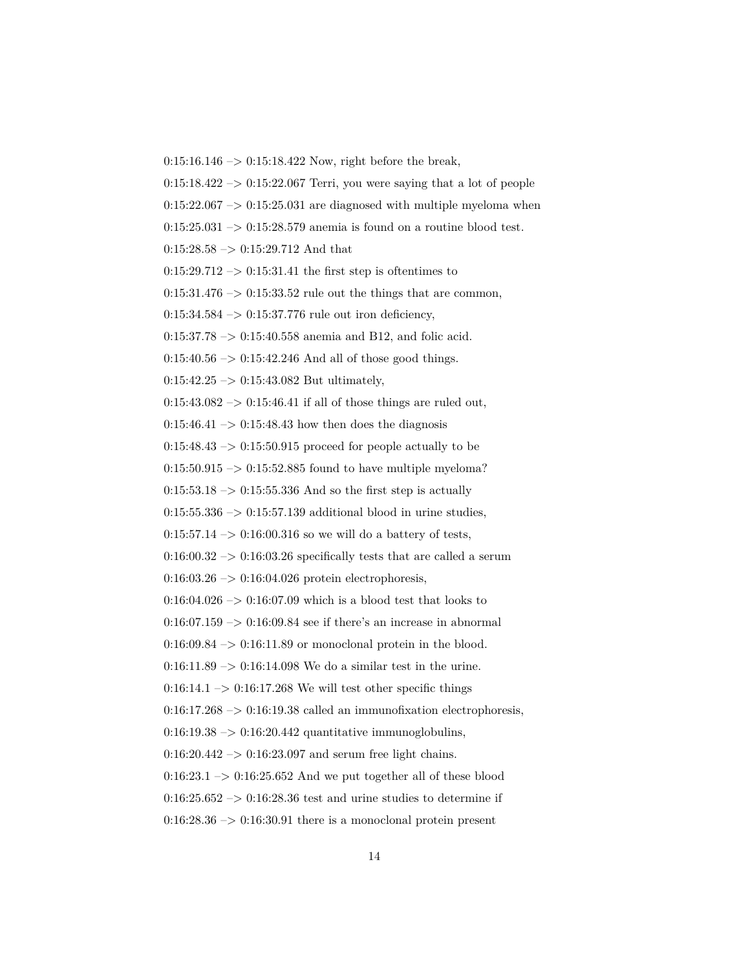$0:15:16.146 \rightarrow 0:15:18.422$  Now, right before the break,

 $0:15:18.422 \rightarrow 0:15:22.067$  Terri, you were saying that a lot of people

 $0:15:22.067 \rightarrow 0:15:25.031$  are diagnosed with multiple myeloma when

 $0:15:25.031 \rightarrow 0:15:28.579$  anemia is found on a routine blood test.

 $0:15:28.58 \rightarrow 0:15:29.712$  And that

 $0:15:29.712 \rightarrow 0:15:31.41$  the first step is oftentimes to

 $0:15:31.476 \rightarrow 0:15:33.52$  rule out the things that are common,

 $0:15:34.584 \rightarrow 0:15:37.776$  rule out iron deficiency,

0:15:37.78 –> 0:15:40.558 anemia and B12, and folic acid.

 $0:15:40.56 \rightarrow 0:15:42.246$  And all of those good things.

 $0:15:42.25 \rightarrow 0:15:43.082$  But ultimately,

 $0:15:43.082 \rightarrow 0:15:46.41$  if all of those things are ruled out,

 $0:15:46.41 \rightarrow 0:15:48.43$  how then does the diagnosis

 $0:15:48.43 \rightarrow 0:15:50.915$  proceed for people actually to be

 $0:15:50.915 \rightarrow 0:15:52.885$  found to have multiple myeloma?

 $0:15:53.18 \rightarrow 0:15:55.336$  And so the first step is actually

 $0:15:55.336 \rightarrow 0:15:57.139$  additional blood in urine studies,

 $0:15:57.14 \rightarrow 0:16:00.316$  so we will do a battery of tests,

 $0.16:00.32 \rightarrow 0.16:03.26$  specifically tests that are called a serum

 $0.16:03.26 \rightarrow 0.16:04.026$  protein electrophoresis,

 $0:16:04.026 \rightarrow 0:16:07.09$  which is a blood test that looks to

 $0:16:07.159 \rightarrow 0:16:09.84$  see if there's an increase in abnormal

 $0.16:09.84 \rightarrow 0.16:11.89$  or monoclonal protein in the blood.

 $0:16:11.89 \rightarrow 0:16:14.098$  We do a similar test in the urine.

 $0.16:14.1 \rightarrow 0.16:17.268$  We will test other specific things

 $0:16:17.268 \rightarrow 0:16:19.38$  called an immunofixation electrophoresis,

 $0:16:19.38 \rightarrow 0:16:20.442$  quantitative immunoglobulins,

 $0:16:20.442 \rightarrow 0:16:23.097$  and serum free light chains.

 $0:16:23.1 \rightarrow 0:16:25.652$  And we put together all of these blood

 $0:16:25.652 \rightarrow 0:16:28.36$  test and urine studies to determine if

 $0:16:28.36 \rightarrow 0:16:30.91$  there is a monoclonal protein present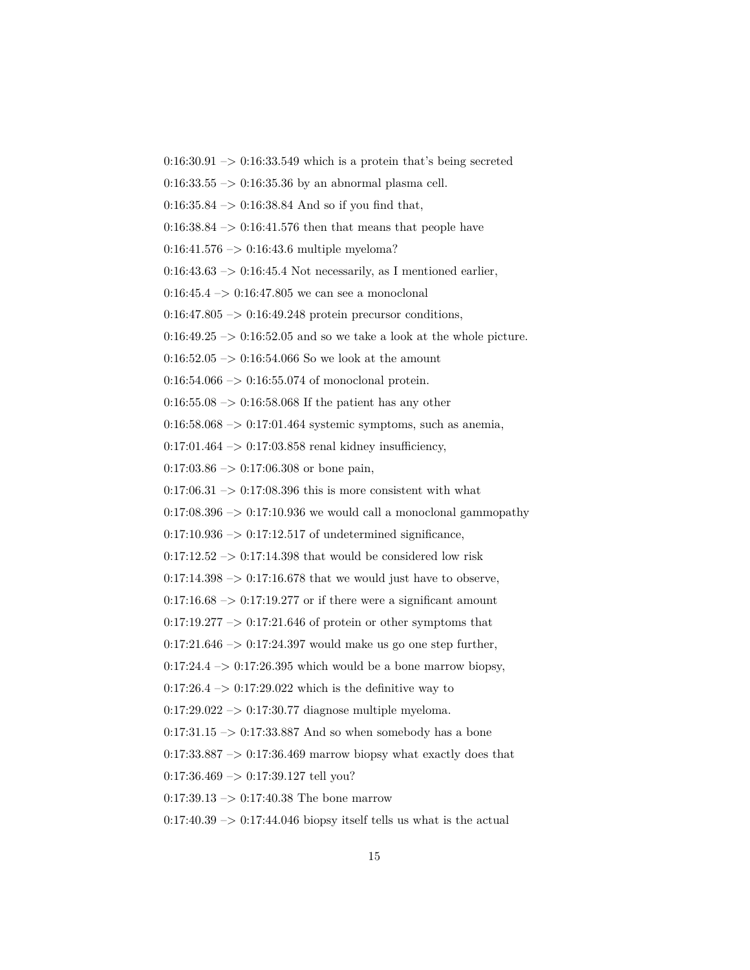$0:16:30.91 \rightarrow 0:16:33.549$  which is a protein that's being secreted

 $0:16:33.55 \rightarrow 0:16:35.36$  by an abnormal plasma cell.

 $0:16:35.84 \rightarrow 0:16:38.84$  And so if you find that,

 $0.16:38.84 \rightarrow 0.16:41.576$  then that means that people have

 $0:16:41.576 \rightarrow 0:16:43.6$  multiple myeloma?

 $0:16:43.63 \rightarrow 0:16:45.4$  Not necessarily, as I mentioned earlier,

 $0:16:45.4 \rightarrow 0:16:47.805$  we can see a monoclonal

 $0:16:47.805 \rightarrow 0:16:49.248$  protein precursor conditions,

 $0:16:49.25 \rightarrow 0:16:52.05$  and so we take a look at the whole picture.

 $0:16:52.05 \rightarrow 0:16:54.066$  So we look at the amount

 $0:16:54.066 \rightarrow 0:16:55.074$  of monoclonal protein.

 $0:16:55.08 \rightarrow 0:16:58.068$  If the patient has any other

 $0:16:58.068 \rightarrow 0:17:01.464$  systemic symptoms, such as anemia,

 $0:17:01.464 \rightarrow 0:17:03.858$  renal kidney insufficiency,

 $0:17:03.86 \rightarrow 0:17:06.308$  or bone pain,

 $0.17:06.31 \rightarrow 0.17:08.396$  this is more consistent with what

 $0:17:08.396 \rightarrow 0:17:10.936$  we would call a monoclonal gammopathy

 $0:17:10.936 \rightarrow 0:17:12.517$  of undetermined significance,

 $0:17:12.52 \rightarrow 0:17:14.398$  that would be considered low risk

 $0:17:14.398 \rightarrow 0:17:16.678$  that we would just have to observe,

 $0:17:16.68 \rightarrow 0:17:19.277$  or if there were a significant amount

 $0:17:19.277 \rightarrow 0:17:21.646$  of protein or other symptoms that

 $0:17:21.646 \rightarrow 0:17:24.397$  would make us go one step further,

 $0:17:24.4 \rightarrow 0:17:26.395$  which would be a bone marrow biopsy,

 $0:17:26.4 \rightarrow 0:17:29.022$  which is the definitive way to

 $0:17:29.022 \rightarrow 0:17:30.77$  diagnose multiple myeloma.

 $0:17:31.15 \rightarrow 0:17:33.887$  And so when somebody has a bone

 $0:17:33.887 \rightarrow 0:17:36.469$  marrow biopsy what exactly does that

 $0:17:36.469 \rightarrow 0:17:39.127$  tell you?

 $0:17:39.13 \rightarrow 0:17:40.38$  The bone marrow

 $0:17:40.39 \rightarrow 0:17:44.046$  biopsy itself tells us what is the actual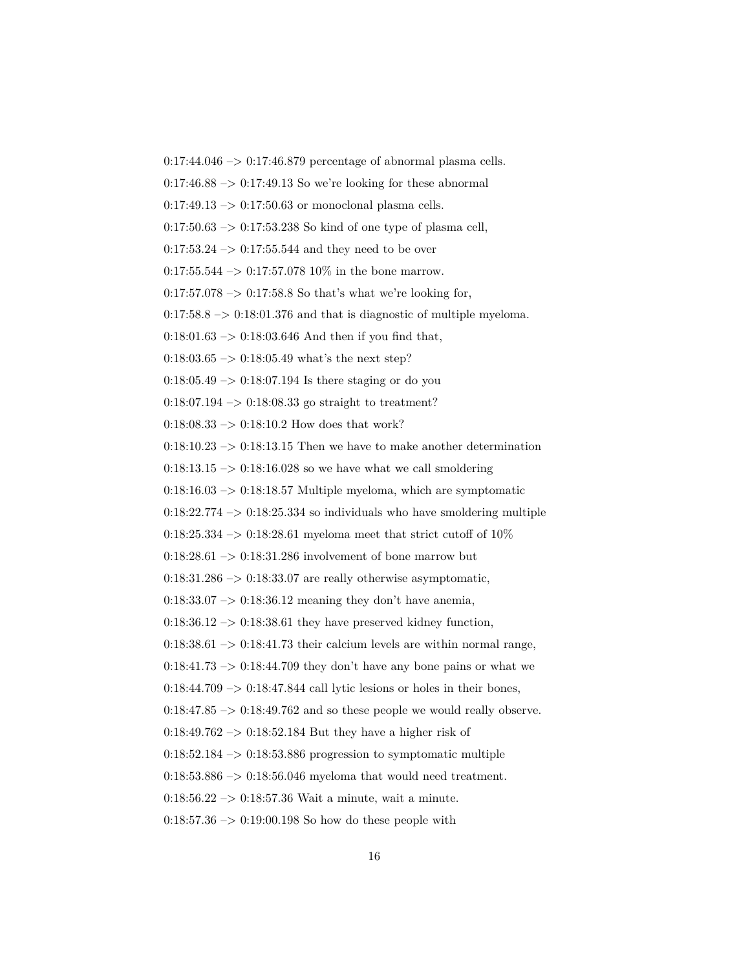$0:17:44.046 \rightarrow 0:17:46.879$  percentage of abnormal plasma cells.

 $0:17:46.88 \rightarrow 0:17:49.13$  So we're looking for these abnormal

 $0:17:49.13 \rightarrow 0:17:50.63$  or monoclonal plasma cells.

 $0:17:50.63 \rightarrow 0:17:53.238$  So kind of one type of plasma cell,

 $0:17:53.24 \rightarrow 0:17:55.544$  and they need to be over

 $0:17:55.544 \rightarrow 0:17:57.078 10\%$  in the bone marrow.

 $0:17:57.078 \rightarrow 0:17:58.8$  So that's what we're looking for,

 $0:17:58.8 \rightarrow 0:18:01.376$  and that is diagnostic of multiple myeloma.

 $0:18:01.63 \rightarrow 0:18:03.646$  And then if you find that,

 $0:18:03.65 \rightarrow 0:18:05.49$  what's the next step?

 $0.18:05.49 \rightarrow 0.18:07.194$  Is there staging or do you

0:18:07.194 –> 0:18:08.33 go straight to treatment?

0:18:08.33  $\rightarrow$  0:18:10.2 How does that work?

0:18:10.23  $\rightarrow$  0:18:13.15 Then we have to make another determination

 $0:18:13.15 \rightarrow 0:18:16.028$  so we have what we call smoldering

 $0:18:16.03 \rightarrow 0:18:18.57$  Multiple myeloma, which are symptomatic

 $0:18:22.774 \rightarrow 0:18:25.334$  so individuals who have smoldering multiple

0:18:25.334 –> 0:18:28.61 myeloma meet that strict cutoff of  $10\%$ 

 $0:18:28.61 \rightarrow 0:18:31.286$  involvement of bone marrow but

 $0:18:31.286 \rightarrow 0:18:33.07$  are really otherwise asymptomatic,

 $0.18:33.07 \rightarrow 0.18:36.12$  meaning they don't have anemia,

 $0.18:36.12 \rightarrow 0.18:38.61$  they have preserved kidney function,

 $0.18:38.61 \rightarrow 0.18:41.73$  their calcium levels are within normal range,

 $0:18:41.73 \rightarrow 0:18:44.709$  they don't have any bone pains or what we

 $0:18:44.709 \rightarrow 0:18:47.844$  call lytic lesions or holes in their bones,

 $0:18:47.85 \rightarrow 0:18:49.762$  and so these people we would really observe.

 $0:18:49.762 \rightarrow 0:18:52.184$  But they have a higher risk of

 $0:18:52.184 \rightarrow 0:18:53.886$  progression to symptomatic multiple

 $0:18:53.886 \rightarrow 0:18:56.046$  myeloma that would need treatment.

0:18:56.22  $\rightarrow$  0:18:57.36 Wait a minute, wait a minute.

 $0:18:57.36 \rightarrow 0:19:00.198$  So how do these people with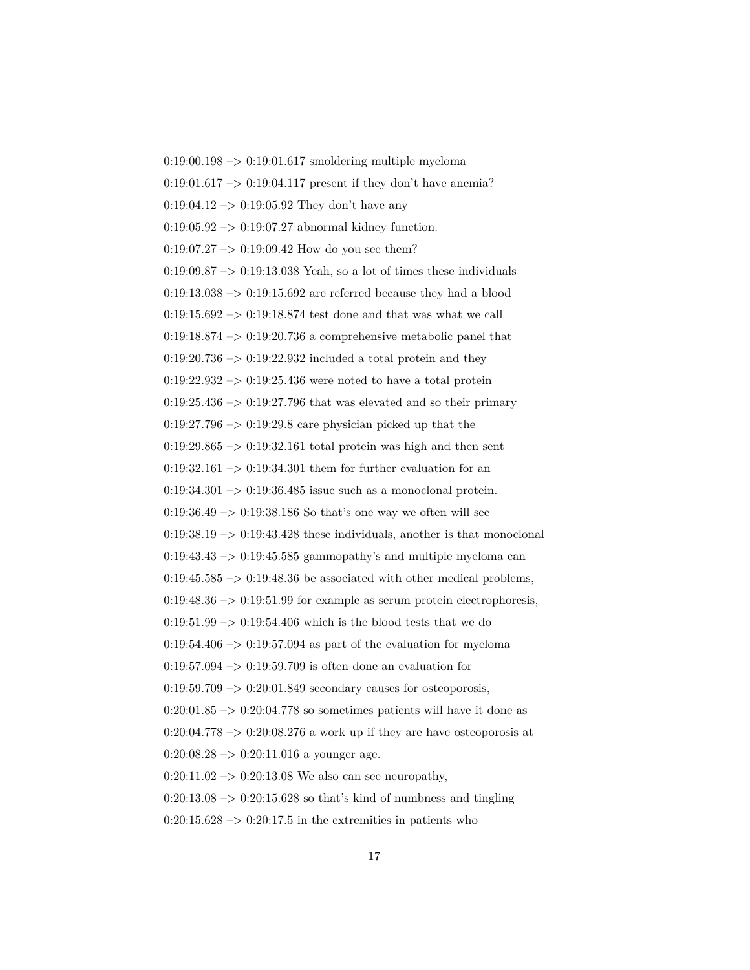$0:19:00.198 \rightarrow 0:19:01.617$  smoldering multiple myeloma  $0:19:01.617 \rightarrow 0:19:04.117$  present if they don't have anemia?  $0:19:04.12 \rightarrow 0:19:05.92$  They don't have any  $0:19:05.92 \rightarrow 0:19:07.27$  abnormal kidney function.  $0:19:07.27 \rightarrow 0:19:09.42$  How do you see them?  $0:19:09.87 \rightarrow 0:19:13.038$  Yeah, so a lot of times these individuals  $0:19:13.038 \rightarrow 0:19:15.692$  are referred because they had a blood  $0:19:15.692 \rightarrow 0:19:18.874$  test done and that was what we call  $0:19:18.874 \rightarrow 0:19:20.736$  a comprehensive metabolic panel that  $0.19:20.736 \rightarrow 0.19:22.932$  included a total protein and they  $0:19:22.932 \rightarrow 0:19:25.436$  were noted to have a total protein  $0:19:25.436 \rightarrow 0:19:27.796$  that was elevated and so their primary  $0:19:27.796 \rightarrow 0:19:29.8$  care physician picked up that the  $0:19:29.865 \rightarrow 0:19:32.161$  total protein was high and then sent  $0:19:32.161 \rightarrow 0:19:34.301$  them for further evaluation for an  $0:19:34.301 \rightarrow 0:19:36.485$  issue such as a monoclonal protein. 0:19:36.49  $\rightarrow$  0:19:38.186 So that's one way we often will see  $0:19:38.19 \rightarrow 0:19:43.428$  these individuals, another is that monoclonal  $0:19:43.43 \rightarrow 0:19:45.585$  gammopathy's and multiple myeloma can 0:19:45.585  $\rightarrow$  0:19:48.36 be associated with other medical problems,  $0:19:48.36 \rightarrow 0:19:51.99$  for example as serum protein electrophoresis,  $0:19:51.99 \rightarrow 0:19:54.406$  which is the blood tests that we do  $0.19:54.406 \rightarrow 0.19:57.094$  as part of the evaluation for myeloma  $0:19:57.094 \rightarrow 0:19:59.709$  is often done an evaluation for  $0.19:59.709 \rightarrow 0.20:01.849$  secondary causes for osteoporosis,  $0:20:01.85 \rightarrow 0:20:04.778$  so sometimes patients will have it done as  $0:20:04.778 \rightarrow 0:20:08.276$  a work up if they are have osteoporosis at  $0:20:08.28 \rightarrow 0:20:11.016$  a younger age.  $0:20:11.02 \rightarrow 0:20:13.08$  We also can see neuropathy,  $0:20:13.08 \rightarrow 0:20:15.628$  so that's kind of numbness and tingling  $0:20:15.628 \rightarrow 0:20:17.5$  in the extremities in patients who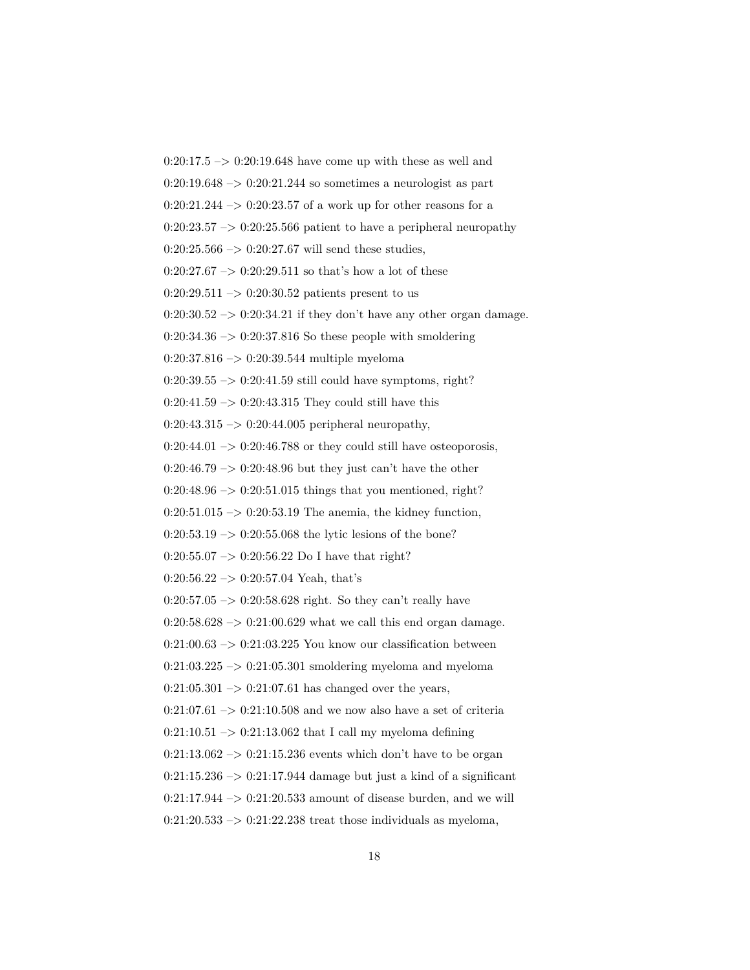$0:20:17.5 \rightarrow 0:20:19.648$  have come up with these as well and  $0:20:19.648 \rightarrow 0:20:21.244$  so sometimes a neurologist as part  $0:20:21.244 \rightarrow 0:20:23.57$  of a work up for other reasons for a  $0:20:23.57 \rightarrow 0:20:25.566$  patient to have a peripheral neuropathy  $0:20:25.566 \rightarrow 0:20:27.67$  will send these studies,  $0:20:27.67 \rightarrow 0:20:29.511$  so that's how a lot of these  $0:20:29.511 \rightarrow 0:20:30.52$  patients present to us  $0:20:30.52 \rightarrow 0:20:34.21$  if they don't have any other organ damage.  $0:20:34.36 \rightarrow 0:20:37.816$  So these people with smoldering  $0:20:37.816 \rightarrow 0:20:39.544$  multiple myeloma  $0:20:39.55 \rightarrow 0:20:41.59$  still could have symptoms, right?  $0:20:41.59 \rightarrow 0:20:43.315$  They could still have this  $0:20:43.315 \rightarrow 0:20:44.005$  peripheral neuropathy,  $0:20:44.01 \rightarrow 0:20:46.788$  or they could still have osteoporosis,  $0:20:46.79 \rightarrow 0:20:48.96$  but they just can't have the other  $0:20:48.96 \rightarrow 0:20:51.015$  things that you mentioned, right?  $0:20:51.015 \rightarrow 0:20:53.19$  The anemia, the kidney function,  $0:20:53.19 \rightarrow 0:20:55.068$  the lytic lesions of the bone?  $0:20:55.07 \rightarrow 0:20:56.22$  Do I have that right?  $0:20:56.22 \rightarrow 0:20:57.04$  Yeah, that's  $0:20:57.05 \rightarrow 0:20:58.628$  right. So they can't really have  $0:20:58.628 \rightarrow 0:21:00.629$  what we call this end organ damage.  $0:21:00.63 \rightarrow 0:21:03.225$  You know our classification between  $0:21:03.225 \rightarrow 0:21:05.301$  smoldering myeloma and myeloma  $0:21:05.301 \rightarrow 0:21:07.61$  has changed over the years,  $0:21:07.61 \rightarrow 0:21:10.508$  and we now also have a set of criteria  $0:21:10.51 \rightarrow 0:21:13.062$  that I call my myeloma defining  $0:21:13.062 \rightarrow 0:21:15.236$  events which don't have to be organ  $0:21:15.236 \rightarrow 0:21:17.944$  damage but just a kind of a significant  $0:21:17.944 \rightarrow 0:21:20.533$  amount of disease burden, and we will  $0:21:20.533 \rightarrow 0:21:22.238$  treat those individuals as myeloma,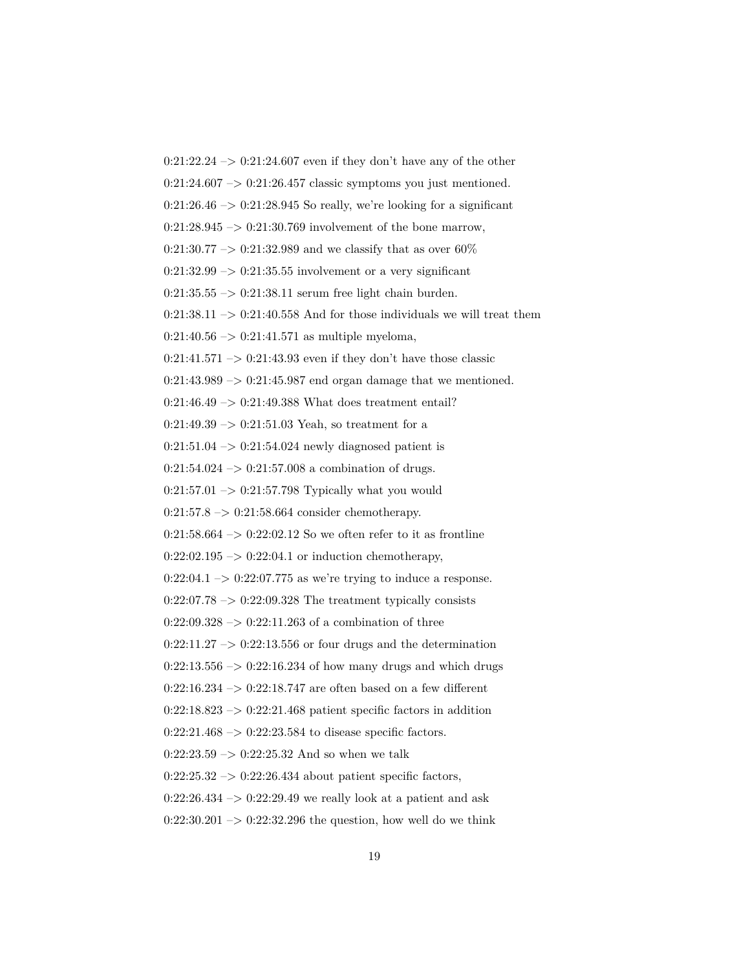$0:21:22.24 \rightarrow 0:21:24.607$  even if they don't have any of the other  $0:21:24.607 \rightarrow 0:21:26.457$  classic symptoms you just mentioned.  $0:21:26.46 \rightarrow 0:21:28.945$  So really, we're looking for a significant  $0:21:28.945 \rightarrow 0:21:30.769$  involvement of the bone marrow,  $0:21:30.77 \rightarrow 0:21:32.989$  and we classify that as over 60%  $0:21:32.99 \rightarrow 0:21:35.55$  involvement or a very significant  $0:21:35.55 \rightarrow 0:21:38.11$  serum free light chain burden.  $0:21:38.11 \rightarrow 0:21:40.558$  And for those individuals we will treat them  $0:21:40.56 \rightarrow 0:21:41.571$  as multiple myeloma,  $0:21:41.571 \rightarrow 0:21:43.93$  even if they don't have those classic  $0:21:43.989 \rightarrow 0:21:45.987$  end organ damage that we mentioned.  $0:21:46.49 \rightarrow 0:21:49.388$  What does treatment entail?  $0:21:49.39 \rightarrow 0:21:51.03$  Yeah, so treatment for a  $0:21:51.04 \rightarrow 0:21:54.024$  newly diagnosed patient is  $0:21:54.024 \rightarrow 0:21:57.008$  a combination of drugs.  $0:21:57.01 \rightarrow 0:21:57.798$  Typically what you would  $0:21:57.8 \rightarrow 0:21:58.664$  consider chemotherapy.  $0:21:58.664 \rightarrow 0:22:02.12$  So we often refer to it as frontline  $0:22:02.195 \rightarrow 0:22:04.1$  or induction chemotherapy,  $0:22:04.1 \rightarrow 0:22:07.775$  as we're trying to induce a response.  $0:22:07.78 \rightarrow 0:22:09.328$  The treatment typically consists 0:22:09.328  $\rightarrow$  0:22:11.263 of a combination of three  $0:22:11.27 \rightarrow 0:22:13.556$  or four drugs and the determination  $0:22:13.556 \rightarrow 0:22:16.234$  of how many drugs and which drugs  $0:22:16.234 \rightarrow 0:22:18.747$  are often based on a few different  $0:22:18.823 \rightarrow 0:22:21.468$  patient specific factors in addition  $0:22:21.468 \rightarrow 0:22:23.584$  to disease specific factors.  $0:22:23.59 \rightarrow 0:22:25.32$  And so when we talk  $0:22:25.32 \rightarrow 0:22:26.434$  about patient specific factors,  $0:22:26.434 \rightarrow 0:22:29.49$  we really look at a patient and ask  $0:22:30.201 \rightarrow 0:22:32.296$  the question, how well do we think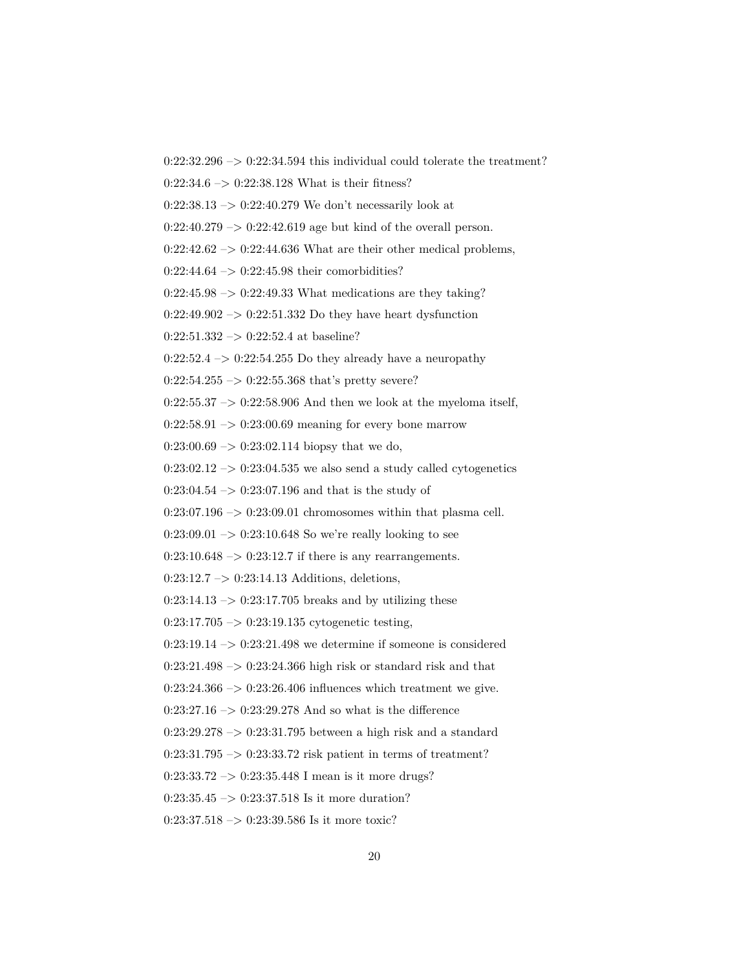$0:22:32.296 \rightarrow 0:22:34.594$  this individual could tolerate the treatment?

0:22:34.6 –> 0:22:38.128 What is their fitness?

 $0:22:38.13 \rightarrow 0:22:40.279$  We don't necessarily look at

 $0:22:40.279 \rightarrow 0:22:42.619$  age but kind of the overall person.

 $0:22:42.62 \rightarrow 0:22:44.636$  What are their other medical problems,

 $0:22:44.64 \rightarrow 0:22:45.98$  their comorbidities?

 $0:22:45.98 \rightarrow 0:22:49.33$  What medications are they taking?

 $0:22:49.902 \rightarrow 0:22:51.332$  Do they have heart dysfunction

 $0:22:51.332 \rightarrow 0:22:52.4$  at baseline?

 $0:22:52.4 \rightarrow 0:22:54.255$  Do they already have a neuropathy

 $0:22:54.255 \rightarrow 0:22:55.368$  that's pretty severe?

 $0:22:55.37 \rightarrow 0:22:58.906$  And then we look at the myeloma itself,

 $0:22:58.91 \rightarrow 0:23:00.69$  meaning for every bone marrow

 $0:23:00.69 \rightarrow 0:23:02.114$  biopsy that we do,

 $0:23:02.12 \rightarrow 0:23:04.535$  we also send a study called cytogenetics

 $0:23:04.54 \rightarrow 0:23:07.196$  and that is the study of

 $0:23:07.196 \rightarrow 0:23:09.01$  chromosomes within that plasma cell.

 $0:23:09.01 \rightarrow 0:23:10.648$  So we're really looking to see

 $0:23:10.648 \rightarrow 0:23:12.7$  if there is any rearrangements.

0:23:12.7 –> 0:23:14.13 Additions, deletions,

 $0:23:14.13 \rightarrow 0:23:17.705$  breaks and by utilizing these

 $0:23:17.705 \rightarrow 0:23:19.135$  cytogenetic testing,

 $0:23:19.14 \rightarrow 0:23:21.498$  we determine if someone is considered

 $0:23:21.498 \rightarrow 0:23:24.366$  high risk or standard risk and that

 $0:23:24.366 \rightarrow 0:23:26.406$  influences which treatment we give.

 $0:23:27.16 \rightarrow 0:23:29.278$  And so what is the difference

 $0:23:29.278 \rightarrow 0:23:31.795$  between a high risk and a standard

 $0:23:31.795 \rightarrow 0:23:33.72$  risk patient in terms of treatment?

0:23:33.72 –> 0:23:35.448 I mean is it more drugs?

 $0:23:35.45 \rightarrow 0:23:37.518$  Is it more duration?

 $0:23:37.518 \rightarrow 0:23:39.586$  Is it more toxic?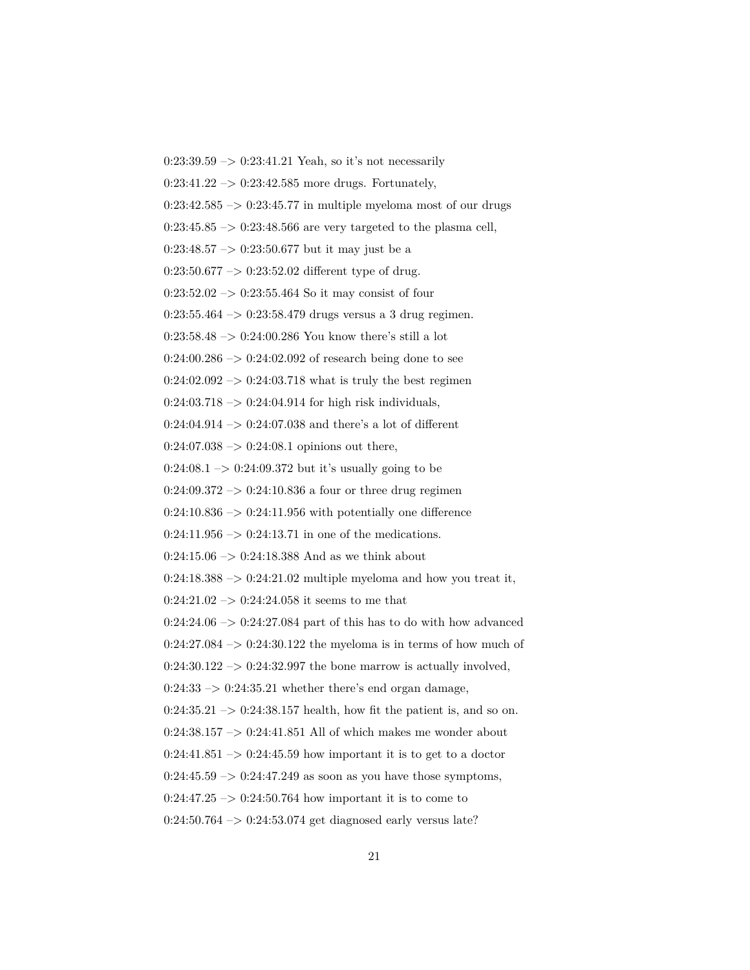$0:23:39.59 \rightarrow 0:23:41.21$  Yeah, so it's not necessarily  $0:23:41.22 \rightarrow 0:23:42.585$  more drugs. Fortunately,  $0:23:42.585 \rightarrow 0:23:45.77$  in multiple myeloma most of our drugs 0:23:45.85  $\rightarrow$  0:23:48.566 are very targeted to the plasma cell,  $0:23:48.57 \rightarrow 0:23:50.677$  but it may just be a  $0:23:50.677 \rightarrow 0:23:52.02$  different type of drug.  $0:23:52.02 \rightarrow 0:23:55.464$  So it may consist of four  $0:23:55.464 \rightarrow 0:23:58.479$  drugs versus a 3 drug regimen. 0:23:58.48  $\rightarrow$  0:24:00.286 You know there's still a lot  $0:24:00.286 \rightarrow 0:24:02.092$  of research being done to see  $0:24:02.092 \rightarrow 0:24:03.718$  what is truly the best regimen  $0:24:03.718 \rightarrow 0:24:04.914$  for high risk individuals,  $0:24:04.914 \rightarrow 0:24:07.038$  and there's a lot of different  $0:24:07.038 \rightarrow 0:24:08.1$  opinions out there,  $0:24:08.1 \rightarrow 0:24:09.372$  but it's usually going to be  $0:24:09.372 \rightarrow 0:24:10.836$  a four or three drug regimen  $0:24:10.836 \rightarrow 0:24:11.956$  with potentially one difference  $0:24:11.956 \rightarrow 0:24:13.71$  in one of the medications.  $0:24:15.06 \rightarrow 0:24:18.388$  And as we think about  $0:24:18.388 \rightarrow 0:24:21.02$  multiple myeloma and how you treat it,  $0:24:21.02 \rightarrow 0:24:24.058$  it seems to me that  $0:24:24.06 \rightarrow 0:24:27.084$  part of this has to do with how advanced  $0:24:27.084 \rightarrow 0:24:30.122$  the myeloma is in terms of how much of  $0:24:30.122 \rightarrow 0:24:32.997$  the bone marrow is actually involved,  $0:24:33 \rightarrow 0:24:35.21$  whether there's end organ damage,  $0:24:35.21 \rightarrow 0:24:38.157$  health, how fit the patient is, and so on.  $0:24:38.157 \rightarrow 0:24:41.851$  All of which makes me wonder about  $0:24:41.851 \rightarrow 0:24:45.59$  how important it is to get to a doctor  $0:24:45.59 \rightarrow 0:24:47.249$  as soon as you have those symptoms,  $0:24:47.25 \rightarrow 0:24:50.764$  how important it is to come to  $0:24:50.764 \rightarrow 0:24:53.074$  get diagnosed early versus late?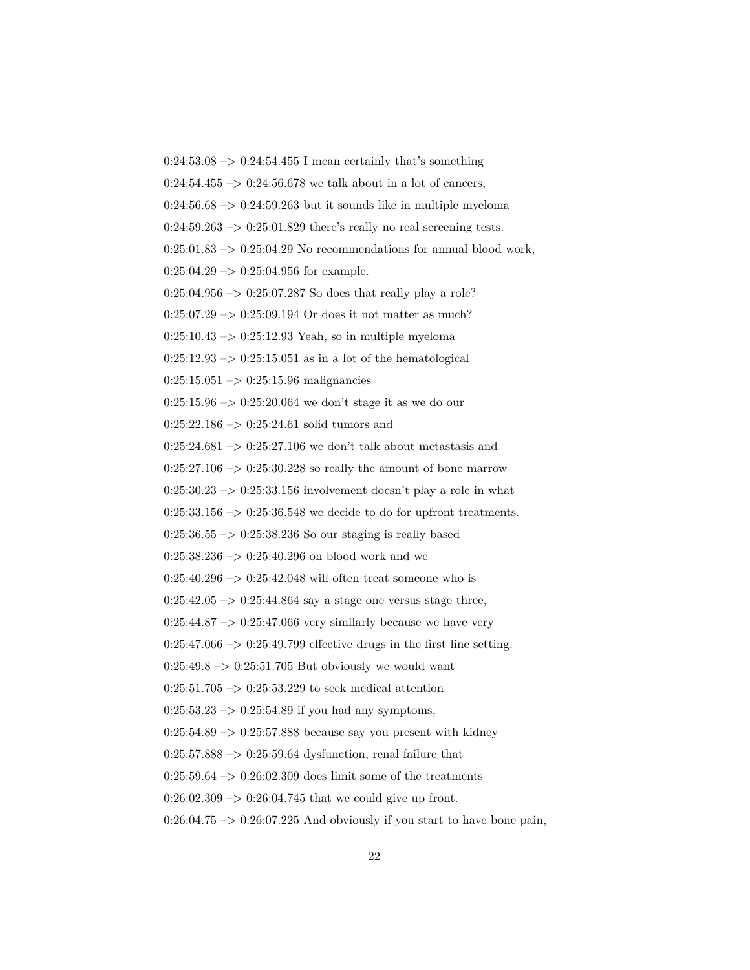$0:24:53.08 \rightarrow 0:24:54.455$  I mean certainly that's something  $0:24:54.455 \rightarrow 0:24:56.678$  we talk about in a lot of cancers,  $0:24:56.68 \rightarrow 0:24:59.263$  but it sounds like in multiple myeloma  $0:24:59.263 \rightarrow 0:25:01.829$  there's really no real screening tests.  $0:25:01.83 \rightarrow 0:25:04.29$  No recommendations for annual blood work,  $0:25:04.29 \rightarrow 0:25:04.956$  for example.  $0:25:04.956 \rightarrow 0:25:07.287$  So does that really play a role?  $0:25:07.29 \rightarrow 0:25:09.194$  Or does it not matter as much?  $0:25:10.43 \rightarrow 0:25:12.93$  Yeah, so in multiple myeloma  $0:25:12.93 \rightarrow 0:25:15.051$  as in a lot of the hematological  $0:25:15.051 \rightarrow 0:25:15.96$  malignancies  $0:25:15.96 \rightarrow 0:25:20.064$  we don't stage it as we do our 0:25:22.186 –> 0:25:24.61 solid tumors and  $0:25:24.681 \rightarrow 0:25:27.106$  we don't talk about metastasis and  $0:25:27.106 \rightarrow 0:25:30.228$  so really the amount of bone marrow  $0:25:30.23 \rightarrow 0:25:33.156$  involvement doesn't play a role in what  $0:25:33.156 \rightarrow 0:25:36.548$  we decide to do for upfront treatments.  $0:25:36.55 \rightarrow 0:25:38.236$  So our staging is really based  $0:25:38.236 \rightarrow 0:25:40.296$  on blood work and we  $0:25:40.296 \rightarrow 0:25:42.048$  will often treat someone who is  $0:25:42.05 \rightarrow 0:25:44.864$  say a stage one versus stage three,  $0:25:44.87 \rightarrow 0:25:47.066$  very similarly because we have very  $0:25:47.066 \rightarrow 0:25:49.799$  effective drugs in the first line setting.  $0:25:49.8 \rightarrow 0:25:51.705$  But obviously we would want  $0:25:51.705 \rightarrow 0:25:53.229$  to seek medical attention  $0:25:53.23 \rightarrow 0:25:54.89$  if you had any symptoms,  $0:25:54.89 \rightarrow 0:25:57.888$  because say you present with kidney  $0:25:57.888 \rightarrow 0:25:59.64$  dysfunction, renal failure that  $0:25:59.64 \rightarrow 0:26:02.309$  does limit some of the treatments  $0:26:02.309 \rightarrow 0:26:04.745$  that we could give up front.  $0:26:04.75 \rightarrow 0:26:07.225$  And obviously if you start to have bone pain,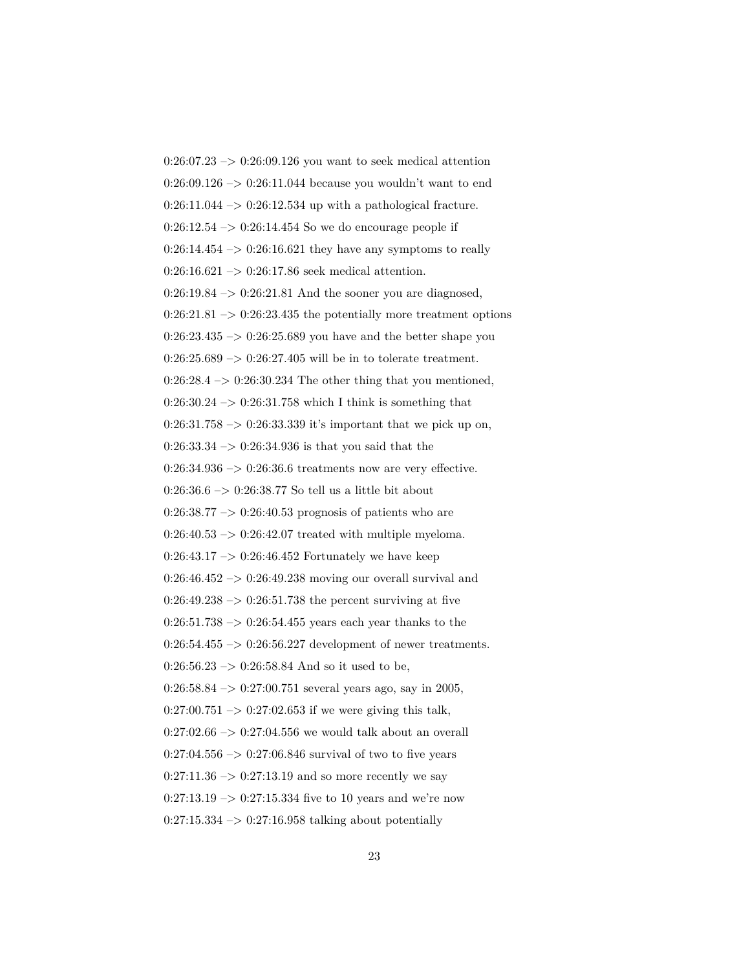$0:26:07.23 \rightarrow 0:26:09.126$  you want to seek medical attention 0:26:09.126  $\rightarrow$  0:26:11.044 because you wouldn't want to end  $0:26:11.044 \rightarrow 0:26:12.534$  up with a pathological fracture.  $0:26:12.54 \rightarrow 0:26:14.454$  So we do encourage people if  $0:26:14.454 \rightarrow 0:26:16.621$  they have any symptoms to really  $0:26:16.621 \rightarrow 0:26:17.86$  seek medical attention.  $0:26:19.84 \rightarrow 0:26:21.81$  And the sooner you are diagnosed,  $0:26:21.81 \rightarrow 0:26:23.435$  the potentially more treatment options  $0:26:23.435 \rightarrow 0:26:25.689$  you have and the better shape you  $0:26:25.689 \rightarrow 0:26:27.405$  will be in to tolerate treatment.  $0:26:28.4 \rightarrow 0:26:30.234$  The other thing that you mentioned,  $0:26:30.24 \rightarrow 0:26:31.758$  which I think is something that  $0:26:31.758 \rightarrow 0:26:33.339$  it's important that we pick up on,  $0:26:33.34 \rightarrow 0:26:34.936$  is that you said that the  $0:26:34.936 \rightarrow 0:26:36.6$  treatments now are very effective.  $0:26:36.6 \rightarrow 0:26:38.77$  So tell us a little bit about  $0:26:38.77 \rightarrow 0:26:40.53$  prognosis of patients who are  $0:26:40.53 \rightarrow 0:26:42.07$  treated with multiple myeloma.  $0:26:43.17 \rightarrow 0:26:46.452$  Fortunately we have keep 0:26:46.452 –> 0:26:49.238 moving our overall survival and  $0:26:49.238 \rightarrow 0:26:51.738$  the percent surviving at five  $0:26:51.738 \rightarrow 0:26:54.455$  years each year thanks to the  $0:26:54.455 \rightarrow 0:26:56.227$  development of newer treatments.  $0:26:56.23 \rightarrow 0:26:58.84$  And so it used to be,  $0:26:58.84 \rightarrow 0:27:00.751$  several years ago, say in 2005,  $0:27:00.751 \rightarrow 0:27:02.653$  if we were giving this talk,  $0:27:02.66 \rightarrow 0:27:04.556$  we would talk about an overall  $0:27:04.556 \rightarrow 0:27:06.846$  survival of two to five years  $0:27:11.36 \rightarrow 0:27:13.19$  and so more recently we say  $0:27:13.19 \rightarrow 0:27:15.334$  five to 10 years and we're now  $0:27:15.334 \rightarrow 0:27:16.958$  talking about potentially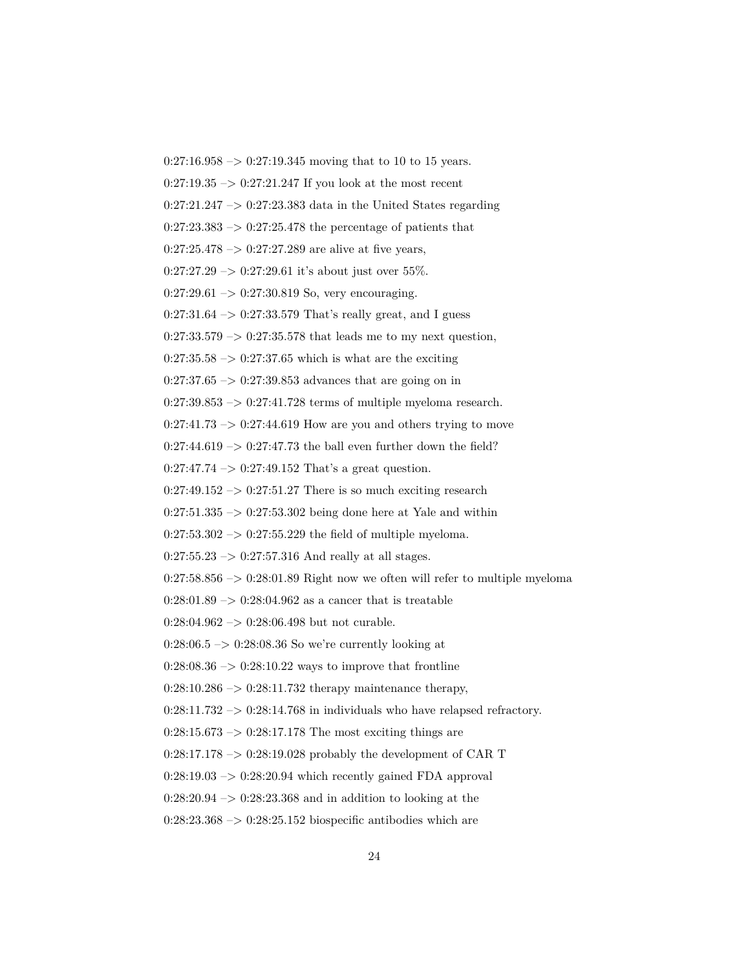$0:27:16.958 \rightarrow 0:27:19.345$  moving that to 10 to 15 years.  $0:27:19.35 \rightarrow 0:27:21.247$  If you look at the most recent  $0:27:21.247 \rightarrow 0:27:23.383$  data in the United States regarding  $0:27:23.383 \rightarrow 0:27:25.478$  the percentage of patients that  $0:27:25.478 \rightarrow 0:27:27.289$  are alive at five years,  $0:27:27.29 \rightarrow 0:27:29.61$  it's about just over 55%.  $0:27:29.61 \rightarrow 0:27:30.819$  So, very encouraging.  $0:27:31.64 \rightarrow 0:27:33.579$  That's really great, and I guess  $0:27:33.579 \rightarrow 0:27:35.578$  that leads me to my next question,  $0:27:35.58 \rightarrow 0:27:37.65$  which is what are the exciting  $0:27:37.65 \rightarrow 0:27:39.853$  advances that are going on in  $0:27:39.853 \rightarrow 0:27:41.728$  terms of multiple myeloma research.  $0:27:41.73 \rightarrow 0:27:44.619$  How are you and others trying to move  $0:27:44.619 \rightarrow 0:27:47.73$  the ball even further down the field?  $0:27:47.74 \rightarrow 0:27:49.152$  That's a great question.  $0:27:49.152 \rightarrow 0:27:51.27$  There is so much exciting research  $0:27:51.335 \rightarrow 0:27:53.302$  being done here at Yale and within  $0:27:53.302 \rightarrow 0:27:55.229$  the field of multiple myeloma.  $0:27:55.23 \rightarrow 0:27:57.316$  And really at all stages.  $0:27:58.856 \rightarrow 0:28:01.89$  Right now we often will refer to multiple myeloma  $0:28:01.89 \rightarrow 0:28:04.962$  as a cancer that is treatable  $0:28:04.962 \rightarrow 0:28:06.498$  but not curable.  $0:28:06.5 \rightarrow 0:28:08.36$  So we're currently looking at  $0:28:08.36 \rightarrow 0:28:10.22$  ways to improve that frontline  $0:28:10.286 \rightarrow 0:28:11.732$  therapy maintenance therapy,  $0:28:11.732 \rightarrow 0:28:14.768$  in individuals who have relapsed refractory.  $0:28:15.673 \rightarrow 0:28:17.178$  The most exciting things are  $0:28:17.178 \rightarrow 0:28:19.028$  probably the development of CAR T  $0:28:19.03 \rightarrow 0:28:20.94$  which recently gained FDA approval  $0:28:20.94 \rightarrow 0:28:23.368$  and in addition to looking at the  $0:28:23.368 \rightarrow 0:28:25.152$  biospecific antibodies which are